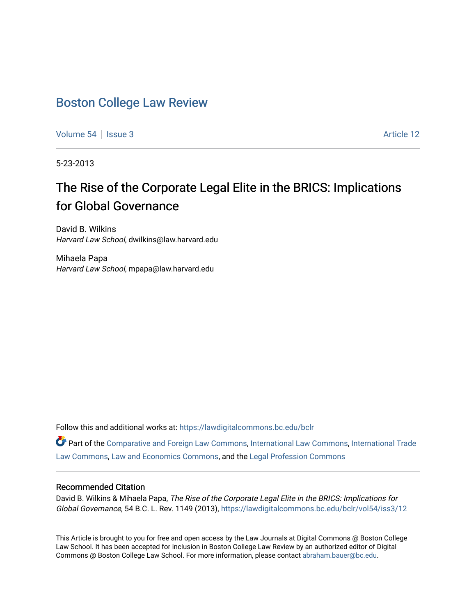# [Boston College Law Review](https://lawdigitalcommons.bc.edu/bclr)

[Volume 54](https://lawdigitalcommons.bc.edu/bclr/vol54) | [Issue 3](https://lawdigitalcommons.bc.edu/bclr/vol54/iss3) Article 12

5-23-2013

# The Rise of the Corporate Legal Elite in the BRICS: Implications for Global Governance

David B. Wilkins Harvard Law School, dwilkins@law.harvard.edu

Mihaela Papa Harvard Law School, mpapa@law.harvard.edu

Follow this and additional works at: [https://lawdigitalcommons.bc.edu/bclr](https://lawdigitalcommons.bc.edu/bclr?utm_source=lawdigitalcommons.bc.edu%2Fbclr%2Fvol54%2Fiss3%2F12&utm_medium=PDF&utm_campaign=PDFCoverPages) 

Part of the [Comparative and Foreign Law Commons,](http://network.bepress.com/hgg/discipline/836?utm_source=lawdigitalcommons.bc.edu%2Fbclr%2Fvol54%2Fiss3%2F12&utm_medium=PDF&utm_campaign=PDFCoverPages) [International Law Commons,](http://network.bepress.com/hgg/discipline/609?utm_source=lawdigitalcommons.bc.edu%2Fbclr%2Fvol54%2Fiss3%2F12&utm_medium=PDF&utm_campaign=PDFCoverPages) [International Trade](http://network.bepress.com/hgg/discipline/848?utm_source=lawdigitalcommons.bc.edu%2Fbclr%2Fvol54%2Fiss3%2F12&utm_medium=PDF&utm_campaign=PDFCoverPages)  [Law Commons,](http://network.bepress.com/hgg/discipline/848?utm_source=lawdigitalcommons.bc.edu%2Fbclr%2Fvol54%2Fiss3%2F12&utm_medium=PDF&utm_campaign=PDFCoverPages) [Law and Economics Commons](http://network.bepress.com/hgg/discipline/612?utm_source=lawdigitalcommons.bc.edu%2Fbclr%2Fvol54%2Fiss3%2F12&utm_medium=PDF&utm_campaign=PDFCoverPages), and the [Legal Profession Commons](http://network.bepress.com/hgg/discipline/1075?utm_source=lawdigitalcommons.bc.edu%2Fbclr%2Fvol54%2Fiss3%2F12&utm_medium=PDF&utm_campaign=PDFCoverPages)

### Recommended Citation

David B. Wilkins & Mihaela Papa, The Rise of the Corporate Legal Elite in the BRICS: Implications for Global Governance, 54 B.C. L. Rev. 1149 (2013), [https://lawdigitalcommons.bc.edu/bclr/vol54/iss3/12](https://lawdigitalcommons.bc.edu/bclr/vol54/iss3/12?utm_source=lawdigitalcommons.bc.edu%2Fbclr%2Fvol54%2Fiss3%2F12&utm_medium=PDF&utm_campaign=PDFCoverPages) 

This Article is brought to you for free and open access by the Law Journals at Digital Commons @ Boston College Law School. It has been accepted for inclusion in Boston College Law Review by an authorized editor of Digital Commons @ Boston College Law School. For more information, please contact [abraham.bauer@bc.edu.](mailto:abraham.bauer@bc.edu)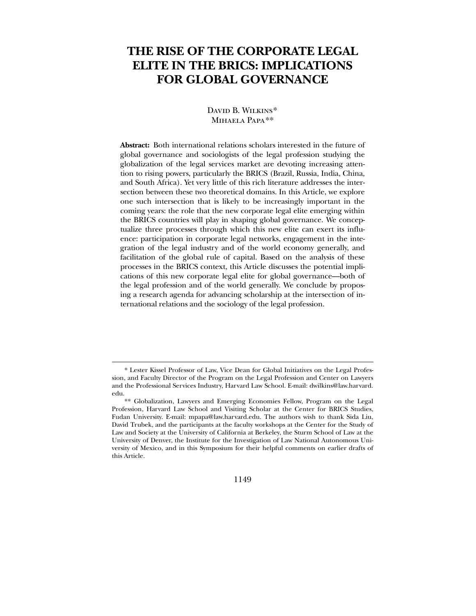# **THE RISE OF THE CORPORATE LEGAL ELITE IN THE BRICS: IMPLICATIONS FOR GLOBAL GOVERNANCE**

#### David B. Wilkins[\\*](#page-1-0) Mihaela Papa[\\*\\*](#page-1-1)

**Abstract:** Both international relations scholars interested in the future of global governance and sociologists of the legal profession studying the globalization of the legal services market are devoting increasing attention to rising powers, particularly the BRICS (Brazil, Russia, India, China, and South Africa). Yet very little of this rich literature addresses the intersection between these two theoretical domains. In this Article, we explore one such intersection that is likely to be increasingly important in the coming years: the role that the new corporate legal elite emerging within the BRICS countries will play in shaping global governance. We conceptualize three processes through which this new elite can exert its influence: participation in corporate legal networks, engagement in the integration of the legal industry and of the world economy generally, and facilitation of the global rule of capital. Based on the analysis of these processes in the BRICS context, this Article discusses the potential implications of this new corporate legal elite for global governance—both of the legal profession and of the world generally. We conclude by proposing a research agenda for advancing scholarship at the intersection of international relations and the sociology of the legal profession.

 $\overline{a}$ 

1149

<sup>\*</sup> Lester Kissel Professor of Law, Vice Dean for Global Initiatives on the Legal Profession, and Faculty Director of the Program on the Legal Profession and Center on Lawyers and the Professional Services Industry, Harvard Law School. E-mail: dwilkins@law.harvard. edu.

<span id="page-1-1"></span><span id="page-1-0"></span><sup>\*\*</sup> Globalization, Lawyers and Emerging Economies Fellow, Program on the Legal Profession, Harvard Law School and Visiting Scholar at the Center for BRICS Studies, Fudan University. E-mail: mpapa@law.harvard.edu. The authors wish to thank Sida Liu, David Trubek, and the participants at the faculty workshops at the Center for the Study of Law and Society at the University of California at Berkeley, the Sturm School of Law at the University of Denver, the Institute for the Investigation of Law National Autonomous University of Mexico, and in this Symposium for their helpful comments on earlier drafts of this Article.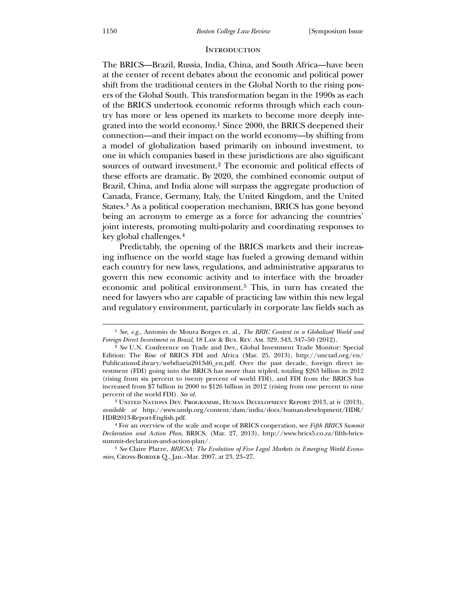#### **INTRODUCTION**

The BRICS—Brazil, Russia, India, China, and South Africa—have been at the center of recent debates about the economic and political power shift from the traditional centers in the Global North to the rising powers of the Global South. This transformation began in the 1990s as each of the BRICS undertook economic reforms through which each country has more or less opened its markets to become more deeply integrated into the world economy.[1](#page-2-0) Since 2000, the BRICS deepened their connection—and their impact on the world economy—by shifting from a model of globalization based primarily on inbound investment, to one in which companies based in these jurisdictions are also significant sources of outward investment.[2](#page-2-1) The economic and political effects of these efforts are dramatic. By 2020, the combined economic output of Brazil, China, and India alone will surpass the aggregate production of Canada, France, Germany, Italy, the United Kingdom, and the United States.[3](#page-2-2) As a political cooperation mechanism, BRICS has gone beyond being an acronym to emerge as a force for advancing the countries' joint interests, promoting multi-polarity and coordinating responses to key global challenges.[4](#page-2-3)

 Predictably, the opening of the BRICS markets and their increasing influence on the world stage has fueled a growing demand within each country for new laws, regulations, and administrative apparatus to govern this new economic activity and to interface with the broader economic and political environment.[5](#page-2-4) This, in turn has created the need for lawyers who are capable of practicing law within this new legal and regulatory environment, particularly in corporate law fields such as

<sup>1</sup> *See, e.g.*, Antonio de Moura Borges et. al., *The BRIC Context in a Globalized World and Foreign Direct Investment in Brazil*, 18 Law & Bus. Rev. Am. 329, 343, 347–50 (2012).

<sup>&</sup>lt;sup>2</sup> See U.N. Conference on Trade and Dev., Global Investment Trade Monitor: Special Edition: The Rise of BRICS FDI and Africa (Mar. 25, 2013), http://unctad.org/en/ PublicationsLibrary/webdiaeia2013d6\_en.pdf. Over the past decade, foreign direct investment (FDI) going into the BRICS has more than tripled, totaling \$263 billion in 2012 (rising from six percent to twenty percent of world FDI), and FDI from the BRICS has increased from \$7 billion in 2000 to \$126 billion in 2012 (rising from one percent to nine percent of the world FDI). *See id.*

<sup>3</sup> United Nations Dev. Programme, Human Development Report 2013, at iv (2013), *available at* http://www.undp.org/content/dam/india/docs/human-development/HDR/ HDR2013-Report-English.pdf.

<sup>4</sup> For an overview of the scale and scope of BRICS cooperation, see *Fifth BRICS Summit Declaration and Action Plan*, BRICS, (Mar. 27, 2013), http://www.brics5.co.za/fifth-bricssummit-declaration-and-action-plan/.

<span id="page-2-4"></span><span id="page-2-3"></span><span id="page-2-2"></span><span id="page-2-1"></span><span id="page-2-0"></span><sup>5</sup> *See* Claire Plarre, *BRICSA: The Evolution of Five Legal Markets in Emerging World Economies*, Cross-Border Q., Jan.–Mar. 2007, at 23, 23–27.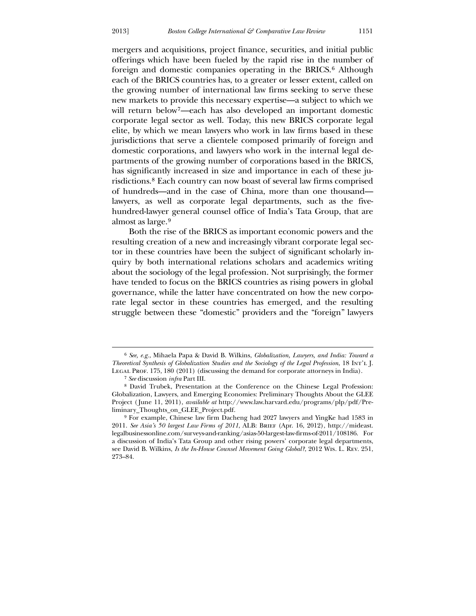mergers and acquisitions, project finance, securities, and initial public offerings which have been fueled by the rapid rise in the number of foreign and domestic companies operating in the BRICS.<sup>[6](#page-3-0)</sup> Although each of the BRICS countries has, to a greater or lesser extent, called on the growing number of international law firms seeking to serve these new markets to provide this necessary expertise—a subject to which we will return below[7](#page-3-1)—each has also developed an important domestic corporate legal sector as well. Today, this new BRICS corporate legal elite, by which we mean lawyers who work in law firms based in these jurisdictions that serve a clientele composed primarily of foreign and domestic corporations, and lawyers who work in the internal legal departments of the growing number of corporations based in the BRICS, has significantly increased in size and importance in each of these jurisdictions.[8](#page-3-2) Each country can now boast of several law firms comprised of hundreds—and in the case of China, more than one thousand lawyers, as well as corporate legal departments, such as the fivehundred-lawyer general counsel office of India's Tata Group, that are almost as large.[9](#page-3-3)

 Both the rise of the BRICS as important economic powers and the resulting creation of a new and increasingly vibrant corporate legal sector in these countries have been the subject of significant scholarly inquiry by both international relations scholars and academics writing about the sociology of the legal profession. Not surprisingly, the former have tended to focus on the BRICS countries as rising powers in global governance, while the latter have concentrated on how the new corporate legal sector in these countries has emerged, and the resulting struggle between these "domestic" providers and the "foreign" lawyers

<u>.</u>

<sup>6</sup> *See, e.g.*, Mihaela Papa & David B. Wilkins, *Globalization, Lawyers, and India: Toward a Theoretical Synthesis of Globalization Studies and the Sociology of the Legal Profession*, 18 Int'l J. Legal Prof. 175, 180 (2011) (discussing the demand for corporate attorneys in India).

<sup>7</sup> *See* discussion *infra* Part III.

<sup>8</sup> David Trubek, Presentation at the Conference on the Chinese Legal Profession: Globalization, Lawyers, and Emerging Economies: Preliminary Thoughts About the GLEE Project ( June 11, 2011), *available at* http://www.law.harvard.edu/programs/plp/pdf/Preliminary\_Thoughts\_on\_GLEE\_Project.pdf.

<span id="page-3-3"></span><span id="page-3-2"></span><span id="page-3-1"></span><span id="page-3-0"></span><sup>9</sup> For example, Chinese law firm Dacheng had 2027 lawyers and YingKe had 1583 in 2011. *See Asia's 50 largest Law Firms of 2011*, ALB: Brief (Apr. 16, 2012), http://mideast. legalbusinessonline.com/surveys-and-ranking/asias-50-largest-law-firms-of-2011/108186. For a discussion of India's Tata Group and other rising powers' corporate legal departments, see David B. Wilkins, *Is the In-House Counsel Movement Going Global?*, 2012 Wis. L. Rev. 251, 273–84.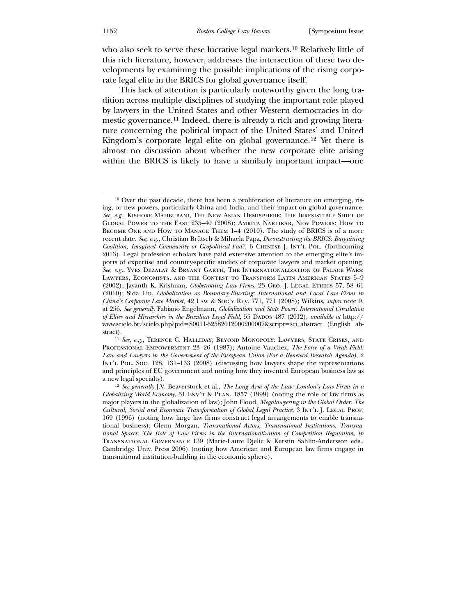who also seek to serve these lucrative legal markets.<sup>[10](#page-4-0)</sup> Relatively little of this rich literature, however, addresses the intersection of these two developments by examining the possible implications of the rising corporate legal elite in the BRICS for global governance itself.

 This lack of attention is particularly noteworthy given the long tradition across multiple disciplines of studying the important role played by lawyers in the United States and other Western democracies in domestic governance.[11](#page-4-1) Indeed, there is already a rich and growing literature concerning the political impact of the United States' and United Kingdom's corporate legal elite on global governance.[12](#page-4-2) Yet there is almost no discussion about whether the new corporate elite arising within the BRICS is likely to have a similarly important impact—one

<sup>10</sup> Over the past decade, there has been a proliferation of literature on emerging, rising, or new powers, particularly China and India, and their impact on global governance. *See, e.g.*, Kishore Mahbubani, The New Asian Hemisphere: The Irresistible Shift of Global Power to the East 235–40 (2008); Amrita Narlikar, New Powers: How to Become One and How to Manage Them 1–4 (2010). The study of BRICS is of a more recent date. *See, e.g.*, Christian Brütsch & Mihaela Papa, *Deconstructing the BRICS: Bargaining Coalition, Imagined Community or Geopolitical Fad?*, 6 Chinese J. Int'l Pol. (forthcoming 2013). Legal profession scholars have paid extensive attention to the emerging elite's imports of expertise and country-specific studies of corporate lawyers and market opening. *See, e.g.*, Yves Dezalay & Bryant Garth, The Internationalization of Palace Wars: Lawyers, Economists, and the Contest to Transform Latin American States 5–9 (2002); Jayanth K. Krishnan, *Globetrotting Law Firms*, 23 Geo. J. Legal Ethics 57, 58–61 (2010); Sida Liu, *Globalization as Boundary-Blurring: International and Local Law Firms in China's Corporate Law Market*, 42 Law & Soc'y Rev. 771, 771 (2008); Wilkins, *supra* note 9, at 256. *See generally* Fabiano Engelmann, *Globalization and State Power: International Circulation of Elites and Hierarchies in the Brazilian Legal Field*, 55 Dados 487 (2012), *available at* http:// www.scielo.br/scielo.php?pid=S0011-52582012000200007&script=sci\_abstract (English abstract).

<span id="page-4-0"></span><sup>11</sup> *See, e.g.*, Terence C. Halliday, Beyond Monopoly: Lawyers, State Crises, and Professional Empowerment 23–26 (1987); Antoine Vauchez, *The Force of a Weak Field: Law and Lawyers in the Government of the European Union (For a Renewed Research Agenda)*, 2 Int'l Pol. Soc. 128, 131–133 (2008) (discussing how lawyers shape the representations and principles of EU government and noting how they invented European business law as a new legal specialty).

<span id="page-4-2"></span><span id="page-4-1"></span><sup>12</sup> *See generally* J.V. Beaverstock et al., *The Long Arm of the Law: London's Law Firms in a Globalizing World Economy*, 31 Env't & Plan. 1857 (1999) (noting the role of law firms as major players in the globalization of law); John Flood, *Megalawyering in the Global Order: The Cultural, Social and Economic Transformation of Global Legal Practice*, 3 Int'l J. Legal Prof. 169 (1996) (noting how large law firms construct legal arrangements to enable transnational business); Glenn Morgan, *Transnational Actors, Transnational Institutions, Transnational Spaces: The Role of Law Firms in the Internationalization of Competition Regulation*, *in* Transnational Governance 139 (Marie-Laure Djelic & Kerstin Sahlin-Andersson eds., Cambridge Univ. Press 2006) (noting how American and European law firms engage in transnational institution-building in the economic sphere).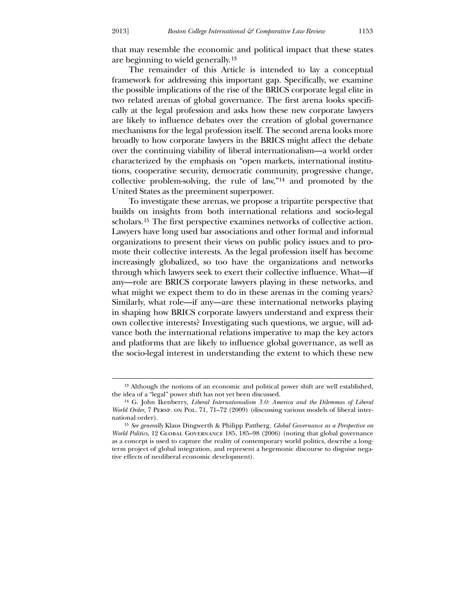$\overline{a}$ 

that may resemble the economic and political impact that these states are beginning to wield generally.[13](#page-5-0)

 The remainder of this Article is intended to lay a conceptual framework for addressing this important gap. Specifically, we examine the possible implications of the rise of the BRICS corporate legal elite in two related arenas of global governance. The first arena looks specifically at the legal profession and asks how these new corporate lawyers are likely to influence debates over the creation of global governance mechanisms for the legal profession itself. The second arena looks more broadly to how corporate lawyers in the BRICS might affect the debate over the continuing viability of liberal internationalism—a world order characterized by the emphasis on "open markets, international institutions, cooperative security, democratic community, progressive change, collective problem-solving, the rule of law,"[14](#page-5-1) and promoted by the United States as the preeminent superpower.

 To investigate these arenas, we propose a tripartite perspective that builds on insights from both international relations and socio-legal scholars.[15](#page-5-2) The first perspective examines networks of collective action. Lawyers have long used bar associations and other formal and informal organizations to present their views on public policy issues and to promote their collective interests. As the legal profession itself has become increasingly globalized, so too have the organizations and networks through which lawyers seek to exert their collective influence. What—if any—role are BRICS corporate lawyers playing in these networks, and what might we expect them to do in these arenas in the coming years? Similarly, what role—if any—are these international networks playing in shaping how BRICS corporate lawyers understand and express their own collective interests? Investigating such questions, we argue, will advance both the international relations imperative to map the key actors and platforms that are likely to influence global governance, as well as the socio-legal interest in understanding the extent to which these new

<sup>13</sup> Although the notions of an economic and political power shift are well established, the idea of a "legal" power shift has not yet been discussed.

<sup>14</sup> G. John Ikenberry, *Liberal Internationalism 3.0: America and the Dilemmas of Liberal World Order*, 7 PERSP. ON POL. 71, 71–72 (2009) (discussing various models of liberal international order).

<span id="page-5-2"></span><span id="page-5-1"></span><span id="page-5-0"></span><sup>15</sup> *See generally* Klaus Dingwerth & Philipp Pattberg, *Global Governance as a Perspective on World Politics*, 12 Global Governance 185, 185–98 (2006) (noting that global governance as a concept is used to capture the reality of contemporary world politics, describe a longterm project of global integration, and represent a hegemonic discourse to disguise negative effects of neoliberal economic development).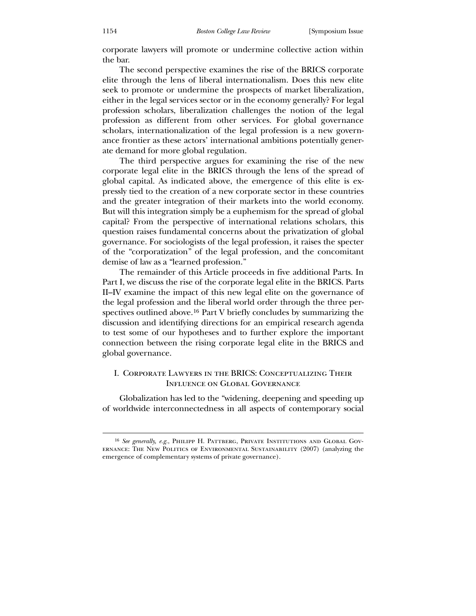corporate lawyers will promote or undermine collective action within the bar.

 The second perspective examines the rise of the BRICS corporate elite through the lens of liberal internationalism. Does this new elite seek to promote or undermine the prospects of market liberalization, either in the legal services sector or in the economy generally? For legal profession scholars, liberalization challenges the notion of the legal profession as different from other services. For global governance scholars, internationalization of the legal profession is a new governance frontier as these actors' international ambitions potentially generate demand for more global regulation.

 The third perspective argues for examining the rise of the new corporate legal elite in the BRICS through the lens of the spread of global capital. As indicated above, the emergence of this elite is expressly tied to the creation of a new corporate sector in these countries and the greater integration of their markets into the world economy. But will this integration simply be a euphemism for the spread of global capital? From the perspective of international relations scholars, this question raises fundamental concerns about the privatization of global governance. For sociologists of the legal profession, it raises the specter of the "corporatization" of the legal profession, and the concomitant demise of law as a "learned profession."

 The remainder of this Article proceeds in five additional Parts. In Part I, we discuss the rise of the corporate legal elite in the BRICS. Parts II–IV examine the impact of this new legal elite on the governance of the legal profession and the liberal world order through the three perspectives outlined above.[16](#page-6-0) Part V briefly concludes by summarizing the discussion and identifying directions for an empirical research agenda to test some of our hypotheses and to further explore the important connection between the rising corporate legal elite in the BRICS and global governance.

#### I. Corporate Lawyers in the BRICS: Conceptualizing Their Influence on Global Governance

 Globalization has led to the "widening, deepening and speeding up of worldwide interconnectedness in all aspects of contemporary social

<span id="page-6-0"></span><sup>&</sup>lt;sup>16</sup> See generally, e.g., PHILIPP H. PATTBERG, PRIVATE INSTITUTIONS AND GLOBAL GOVernance: The New Politics of Environmental Sustainability (2007) (analyzing the emergence of complementary systems of private governance).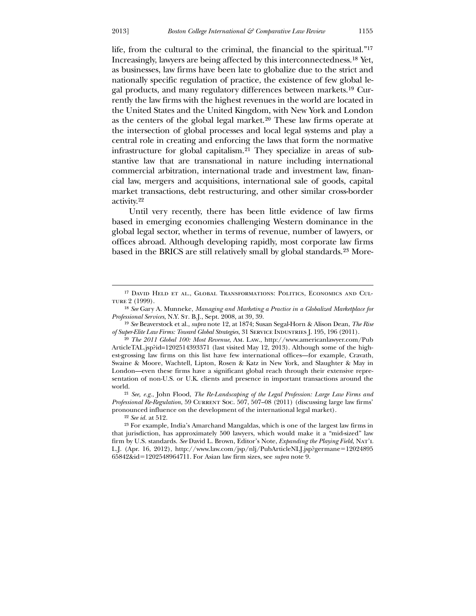-

life, from the cultural to the criminal, the financial to the spiritual."[17](#page-7-0) Increasingly, lawyers are being affected by this interconnectedness.[18](#page-7-1) Yet, as businesses, law firms have been late to globalize due to the strict and nationally specific regulation of practice, the existence of few global legal products, and many regulatory differences between markets.[19](#page-7-2) Currently the law firms with the highest revenues in the world are located in the United States and the United Kingdom, with New York and London as the centers of the global legal market.[20](#page-7-3) These law firms operate at the intersection of global processes and local legal systems and play a central role in creating and enforcing the laws that form the normative infrastructure for global capitalism.[21](#page-7-4) They specialize in areas of substantive law that are transnational in nature including international commercial arbitration, international trade and investment law, financial law, mergers and acquisitions, international sale of goods, capital market transactions, debt restructuring, and other similar cross-border activity.<sup>[22](#page-7-5)</sup>

based in the BRICS are still relatively small by global standards.<sup>23</sup> More-[Until very recently, there has been little evidence of law firms](#page-7-5)  [based in emerging economies challenging Western dominance in the](#page-7-5)  [global legal sector, whether in terms of revenue, number of lawyers, or](#page-7-5)  [offices abroad. Although developing rapidly, most corporate law firms](#page-7-5) 

<sup>17</sup> David Held et al., Global Transformations: Politics, Economics and Culture 2 (1999).

<sup>18</sup> *See* Gary A. Munneke, *Managing and Marketing a Practice in a Globalized Marketplace for Professional Services*, N.Y. St. B.J., Sept. 2008, at 39, 39.

<sup>19</sup> *See* Beaverstock et al., *supra* note 12, at 1874; Susan Segal-Horn & Alison Dean, *The Rise*  of Super-Elite Law Firms: Toward Global Strategies, 31 SERVICE INDUSTRIES J. 195, 196 (2011).

<sup>20</sup> *The 2011 Global 100: Most Revenue*, Am. Law., http://www.americanlawyer.com/Pub ArticleTAL.jsp?id=1202514393371 (last visited May 12, 2013). Although some of the highest-grossing law firms on this list have few international offices—for example, Cravath, Swaine & Moore, Wachtell, Lipton, Rosen & Katz in New York, and Slaughter & May in London—even these firms have a significant global reach through their extensive representation of non-U.S. or U.K. clients and presence in important transactions around the world.

<span id="page-7-0"></span><sup>21</sup> *See, e.g.*, John Flood, *The Re-Landscaping of the Legal Profession: Large Law Firms and Professional Re-Regulation*, 59 Current Soc. 507, 507–08 (2011) (discussing large law firms' pronounced influence on the development of the international legal market).

<sup>22</sup> *See id.* at 512.

<span id="page-7-5"></span><span id="page-7-4"></span><span id="page-7-3"></span><span id="page-7-2"></span><span id="page-7-1"></span><sup>23</sup> For example, India's Amarchand Mangaldas, which is one of the largest law firms in that jurisdiction, has approximately 500 lawyers, which would make it a "mid-sized" law firm by U.S. standards. *See* David L. Brown, Editor's Note, *Expanding the Playing Field*, Nat'l L.J. (Apr. 16, 2012), http://www.law.com/jsp/nlj/PubArticleNLJ.jsp?germane=12024895 65842&id=1202548964711. For Asian law firm sizes, see *supra* note 9.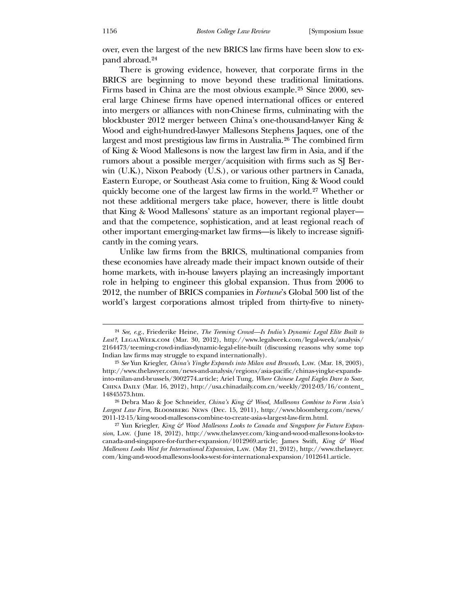[over, even the largest of the new BRICS law firms have been slow to ex](#page-7-5)[pand abroad.](#page-7-5)24

 There is growing evidence, however, that corporate firms in the BRICS are beginning to move beyond these traditional limitations. Firms based in China are the most obvious example.[25](#page-8-0) Since 2000, several large Chinese firms have opened international offices or entered into mergers or alliances with non-Chinese firms, culminating with the blockbuster 2012 merger between China's one-thousand-lawyer King & Wood and eight-hundred-lawyer Mallesons Stephens Jaques, one of the largest and most prestigious law firms in Australia.[26](#page-8-1) The combined firm of King & Wood Mallesons is now the largest law firm in Asia, and if the rumors about a possible merger/acquisition with firms such as SJ Berwin (U.K.), Nixon Peabody (U.S.), or various other partners in Canada, Eastern Europe, or Southeast Asia come to fruition, King & Wood could quickly become one of the largest law firms in the world.[27](#page-8-2) Whether or not these additional mergers take place, however, there is little doubt that King & Wood Mallesons' stature as an important regional player and that the competence, sophistication, and at least regional reach of other important emerging-market law firms—is likely to increase significantly in the coming years.

 Unlike law firms from the BRICS, multinational companies from these economies have already made their impact known outside of their home markets, with in-house lawyers playing an increasingly important role in helping to engineer this global expansion. Thus from 2006 to 2012, the number of BRICS companies in *Fortune*'s Global 500 list of the world's largest corporations almost tripled from thirty-five to ninety-

<sup>24</sup> *See, e.g.*, Friederike Heine, *The Teeming Crowd—Is India's Dynamic Legal Elite Built to*  Last?, LEGALWEEK.COM (Mar. 30, 2012), http://www.legalweek.com/legal-week/analysis/ 2164473/teeming-crowd-indias-dynamic-legal-elite-built (discussing reasons why some top Indian law firms may struggle to expand internationally).

<sup>25</sup> *See* Yun Kriegler, *China's Yingke Expands into Milan and Brussels*, Law. (Mar. 18, 2003), http://www.thelawyer.com/news-and-analysis/regions/asia-pacific/chinas-yingke-expandsinto-milan-and-brussels/3002774.article; Ariel Tung, *Where Chinese Legal Eagles Dare to Soar*, China Daily (Mar. 16, 2012), http://usa.chinadaily.com.cn/weekly/2012-03/16/content\_ 14845573.htm.

<sup>26</sup> Debra Mao & Joe Schneider, *China's King & Wood, Mallesons Combine to Form Asia's Largest Law Firm*, Bloomberg News (Dec. 15, 2011), http://www.bloomberg.com/news/ 2011-12-15/king-wood-mallesons-combine-to-create-asia-s-largest-law-firm.html.

<span id="page-8-2"></span><span id="page-8-1"></span><span id="page-8-0"></span><sup>27</sup> Yun Kriegler, *King & Wood Mallesons Looks to Canada and Singapore for Future Expansion*, Law. ( June 18, 2012), http://www.thelawyer.com/king-and-wood-mallesons-looks-tocanada-and-singapore-for-further-expansion/1012969.article; James Swift, *King & Wood Mallesons Looks West for International Expansion*, Law. (May 21, 2012), http://www.thelawyer. com/king-and-wood-mallesons-looks-west-for-international-expansion/1012641.article.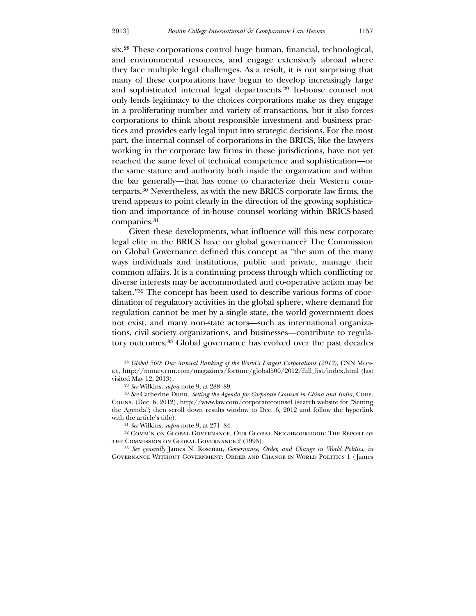six.[28](#page-9-0) These corporations control huge human, financial, technological, and environmental resources, and engage extensively abroad where they face multiple legal challenges. As a result, it is not surprising that many of these corporations have begun to develop increasingly large and sophisticated internal legal departments.[29](#page-9-1) In-house counsel not only lends legitimacy to the choices corporations make as they engage in a proliferating number and variety of transactions, but it also forces corporations to think about responsible investment and business practices and provides early legal input into strategic decisions. For the most part, the internal counsel of corporations in the BRICS, like the lawyers working in the corporate law firms in those jurisdictions, have not yet reached the same level of technical competence and sophistication—or the same stature and authority both inside the organization and within the bar generally—that has come to characterize their Western counterparts.[30](#page-9-2) Nevertheless, as with the new BRICS corporate law firms, the trend appears to point clearly in the direction of the growing sophistication and importance of in-house counsel working within BRICS-based companies.[31](#page-9-3)

 [Given thes](#page-9-3)e developments, what influence will this new corporate legal elite in the BRICS have on global governance? The Commission on Global Governance defined this concept as "the sum of the many ways individuals and institutions, public and private, manage their common affairs. It is a continuing process through which conflicting or diverse interests may be accommodated and co-operative action may be taken."[32](#page-9-4) The concept has been used to describe various forms of coordination of regulatory activities in the global sphere, where demand for regulation cannot be met by a single state, the world government does not exist, and many non-state actors—such as international organizations, civil society organizations, and businesses—contribute to regulatory outcomes.[33](#page-9-5) Global governance has evolved over the past decades

<sup>28</sup> *Global 500: Our Annual Ranking of the World's Largest Corporations (2012)*, CNN Money, http://money.cnn.com/magazines/fortune/global500/2012/full\_list/index.html (last visit ed May 12, 2013).

<sup>29</sup> *See* Wilkins, *supra* note 9, at 288–89.

<sup>&</sup>lt;sup>30</sup> See Catherine Dunn, Setting the Agenda for Corporate Counsel in China and India, CORP. Couns. (Dec. 6, 2012), http://www.law.com/corporatecounsel (search website for "Setting the Agenda"; then scroll down results window to Dec. 6, 2012 and follow the hyperlink with the article's title).

<sup>31</sup> *See* Wilkins, *supra* note 9, at 271–84.

<sup>&</sup>lt;sup>32</sup> COMM'N ON GLOBAL GOVERNANCE, OUR GLOBAL NEIGHBOURHOOD: THE REPORT OF the Commission on Global Governance 2 (1995).

<span id="page-9-5"></span><span id="page-9-4"></span><span id="page-9-3"></span><span id="page-9-2"></span><span id="page-9-1"></span><span id="page-9-0"></span>GOVERNANCE WITHOUT GOVERNMENT: ORDER AND CHANGE IN WORLD POLITICS 1 (James 33 *See generally* James N. Rosenau, *Governance, Order, and Change in World Politics*, *in*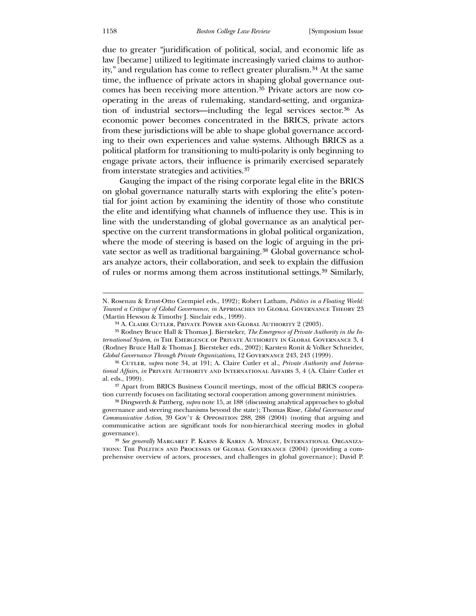due to greater "juridification of political, social, and economic life as law [became] utilized to legitimate increasingly varied claims to authority," and regulation has come to reflect greater pluralism.[34](#page-10-0) At the same time, the influence of private actors in shaping global governance outcomes has been receiving more attention.[35](#page-10-1) Private actors are now cooperating in the areas of rulemaking, standard-setting, and organization of industrial sectors—including the legal services sector.[36](#page-10-2) As economic power becomes concentrated in the BRICS, private actors from these jurisdictions will be able to shape global governance according to their own experiences and value systems. Although BRICS as a political platform for transitioning to multi-polarity is only beginning to engage private actors, their influence is primarily exercised separately from interstate strategies and activities.[37](#page-10-3)

 [Gauging the impact of the rising cor](#page-10-3)porate legal elite in the BRICS on global governance naturally starts with exploring the elite's potential for joint action by examining the identity of those who constitute the elite and identifying what channels of influence they use. This is in line with the understanding of global governance as an analytical perspective on the current transformations in global political organization, where the mode of steering is based on the logic of arguing in the private sector as well as traditional bargaining.[38](#page-10-4) Global governance scholars analyze actors, their collaboration, and seek to explain the diffusion of rules or norms among them across institutional settings.[39](#page-10-5) Similarly,

N. Rosenau & Ernst-Otto Czempiel eds., 1992); Robert Latham, *Politics in a Floating World: Tow ard a Critique of Global Governance*, *in* Approaches to Global Governance Theory 23 (Martin Hewson & Timothy J. Sinclair eds., 1999).

<sup>34</sup> A. Claire Cutler, Private Power and Global Authority 2 (2003).

*ternational System, in* THE EMERGENCE OF PRIVATE AUTHORITY IN GLOBAL GOVERNANCE 3, 4 (Rodney Bruce Hall & Thomas J. Biersteker eds., 2002); Karsten Ronit & Volker Schneider, *Glob al Governance Through Private Organizations*, 12 Governance 243, 243 (1999). 35 Rodney Bruce Hall & Thomas J. Biersteker, *The Emergence of Private Authority in the In-*

<sup>36</sup> Cutler, *supra* note 34, at 191; A. Claire Cutler et al., *Private Authority and International Affairs*, *in* Private Authority and International Affairs 3, 4 (A. Claire Cutler et al. eds., 1999).

<sup>37</sup> Apart from BRICS Business Council meetings, most of the official BRICS cooperation currently focuses on facilitating sectoral cooperation among government ministries.

<sup>&</sup>lt;sup>38</sup> Dingwerth & Pattberg, *supra* note 15, at 188 (discussing analytical approaches to global gov ernance and steering mechanisms beyond the state); Thomas Risse, *Global Governance and Communicative Action*, 39 Gov't & Opposition 288, 288 (2004) (noting that arguing and com municative action are significant tools for non-hierarchical steering modes in global governance).

<span id="page-10-5"></span><span id="page-10-4"></span><span id="page-10-3"></span><span id="page-10-2"></span><span id="page-10-1"></span><span id="page-10-0"></span>prehensive overview of actors, processes, and challenges in global governance); David P. 39 *See generally* Margaret P. Karns & Karen A. Mingst, International Organizations: The Politics and Processes of Global Governance (2004) (providing a com-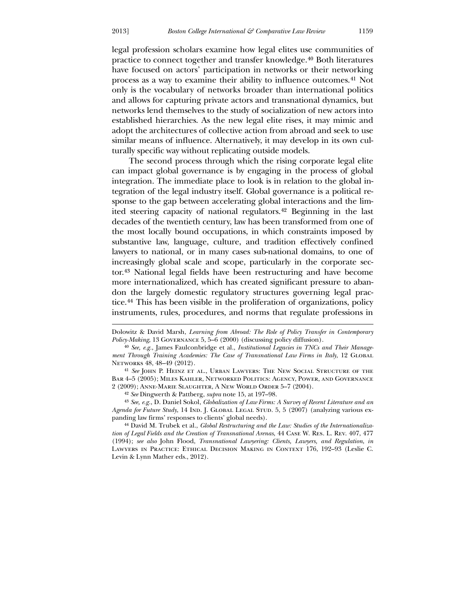<u>.</u>

legal profession scholars examine how legal elites use communities of practice to connect together and transfer knowledge.[40](#page-11-0) Both literatures have focused on actors' participation in networks or their networking process as a way to examine their ability to influence outcomes.[41](#page-11-1) Not only is the vocabulary of networks broader than international politics and allows for capturing private actors and transnational dynamics, but networks lend themselves to the study of socialization of new actors into established hierarchies. As the new legal elite rises, it may mimic and adopt the architectures of collective action from abroad and seek to use similar means of influence. Alternatively, it may develop in its own culturally specific way without replicating outside models.

 The second process through which the rising corporate legal elite can impact global governance is by engaging in the process of global integration. The immediate place to look is in relation to the global integration of the legal industry itself. Global governance is a political response to the gap between accelerating global interactions and the limited steering capacity of national regulators.[42](#page-11-2) Beginning in the last decades of the twentieth century, law has been transformed from one of the most locally bound occupations, in which constraints imposed by substantive law, language, culture, and tradition effectively confined lawyers to national, or in many cases sub-national domains, to one of increasingly global scale and scope, particularly in the corporate sector.[43](#page-11-3) National legal fields have been restructuring and have become more internationalized, which has created significant pressure to abandon the largely domestic regulatory structures governing legal practice.[44](#page-11-4) This has been visible in the proliferation of organizations, policy instruments, rules, procedures, and norms that regulate professions in

Agenda for Future Study, 14 IND. J. GLOBAL LEGAL STUD. 5, 5 (2007) (analyzing various expan ding law firms' responses to clients' global needs). 43 *See, e.g.*, D. Daniel Sokol, *Globalization of Law Firms: A Survey of Recent Literature and an* 

<span id="page-11-4"></span><span id="page-11-3"></span><span id="page-11-2"></span><span id="page-11-1"></span><span id="page-11-0"></span>*Clients, Lawyers, and Regulation*, *in* (1994); *see also* John Flood, *Transnational Lawyering:*  Law yers in Practice: Ethical Decision Making in Context 176, 192–93 (Leslie C. 44 David M. Trubek et al., *Global Restructuring and the Law: Studies of the Internationalization of Legal Fields and the Creation of Transnational Arenas*, 44 Case W. Res. L. Rev. 407, 477 Levin & Lynn Mather eds., 2012).

Dol owitz & David Marsh, *Learning from Abroad: The Role of Policy Transfer in Contemporary Policy-Making*, 13 GOVERNANCE 5, 5–6 (2000) (discussing policy diffusion).

<sup>40</sup> *See, e.g.*, James Faulconbridge et al., *Institutional Legacies in TNCs and Their Management Through Training Academies: The Case of Transnational Law Firms in Italy, 12 GLOBAL* Networks 48, 48–49 (2012).

<sup>2 (2009);</sup> Anne-Marie Slaughter, A New World Order 5-7 (2004). 41 *See* John P. Heinz et al., Urban Lawyers: The New Social Structure of the Bar 4–5 (2005); Miles Kahler, Networked Politics: Agency, Power, and Governance

<sup>42</sup> *See* Dingwerth & Pattberg, *supra* note 15, at 197–98.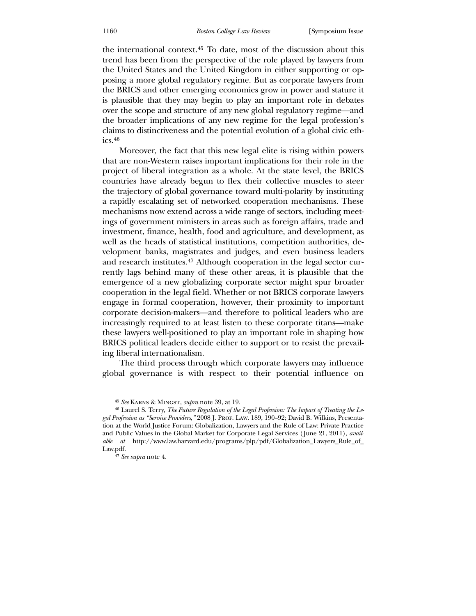the international context.[45](#page-12-0) To date, most of the discussion about this trend has been from the perspective of the role played by lawyers from the United States and the United Kingdom in either supporting or opposing a more global regulatory regime. But as corporate lawyers from the BRICS and other emerging economies grow in power and stature it is plausible that they may begin to play an important role in debates over the scope and structure of any new global regulatory regime—and the broader implications of any new regime for the legal profession's claims to distinctiveness and the potential evolution of a global civic ethics.[46](#page-12-1)

 [M](#page-12-1)oreover, the fact that this new legal elite is rising within powers ing liberal internationalism. that are non-Western raises important implications for their role in the project of liberal integration as a whole. At the state level, the BRICS countries have already begun to flex their collective muscles to steer the trajectory of global governance toward multi-polarity by instituting a rapidly escalating set of networked cooperation mechanisms. These mechanisms now extend across a wide range of sectors, including meetings of government ministers in areas such as foreign affairs, trade and investment, finance, health, food and agriculture, and development, as well as the heads of statistical institutions, competition authorities, development banks, magistrates and judges, and even business leaders and research institutes.[47](#page-12-2) Although cooperation in the legal sector currently lags behind many of these other areas, it is plausible that the emergence of a new globalizing corporate sector might spur broader cooperation in the legal field. Whether or not BRICS corporate lawyers engage in formal cooperation, however, their proximity to important corporate decision-makers—and therefore to political leaders who are increasingly required to at least listen to these corporate titans—make these lawyers well-positioned to play an important role in shaping how BRICS political leaders decide either to support or to resist the prevail-

 The third process through which corporate lawyers may influence global governance is with respect to their potential influence on

 $\overline{a}$ 

<sup>45</sup> *See* Karns & Mingst, *supra* note 39, at 19.

<sup>46</sup> Laurel S. Terry, *The Future Regulation of the Legal Profession: The Impact of Treating the Legal Profession as "Service Providers*,*"* 2008 J. Prof. Law. 189, 190–92; David B. Wilkins, Presentation at the World Justice Forum: Globalization, Lawyers and the Rule of Law: Private Practice and Public Values in the Global Market for Corporate Legal Services ( June 21, 2011), *available at* http://www.law.harvard.edu/programs/plp/pdf/Globalization\_Lawyers\_Rule\_of\_ Law.pdf.

<span id="page-12-2"></span><span id="page-12-1"></span><span id="page-12-0"></span><sup>47</sup> *See supra* note 4.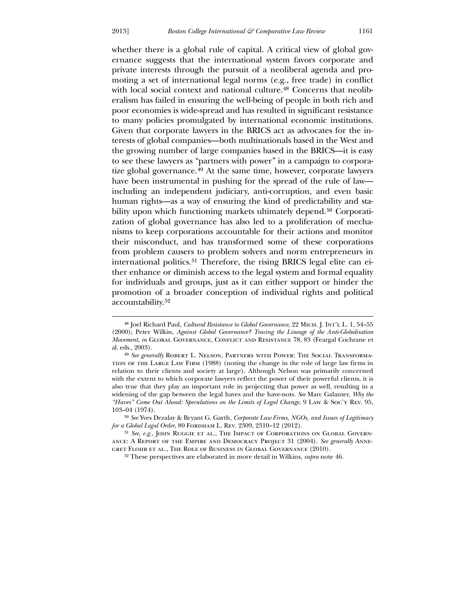$\overline{a}$ 

whether there is a global rule of capital. A critical view of global governance suggests that the international system favors corporate and private interests through the pursuit of a neoliberal agenda and promoting a set of international legal norms (e.g., free trade) in conflict with local social context and national culture.<sup>[48](#page-13-0)</sup> Concerns that neoliberalism has failed in ensuring the well-being of people in both rich and poor economies is wide-spread and has resulted in significant resistance to many policies promulgated by international economic institutions. Given that corporate lawyers in the BRICS act as advocates for the interests of global companies—both multinationals based in the West and the growing number of large companies based in the BRICS—it is easy to see these lawyers as "partners with power" in a campaign to corporatize global governance.[49](#page-13-1) At the same time, however, corporate lawyers have been instrumental in pushing for the spread of the rule of law including an independent judiciary, anti-corruption, and even basic human rights—as a way of ensuring the kind of predictability and sta-bility upon which functioning markets ultimately depend.<sup>[50](#page-13-2)</sup> Corporatization of global governance has also led to a proliferation of mechanisms to keep corporations accountable for their actions and monitor their misconduct, and has transformed some of these corporations from problem causers to problem solvers and norm entrepreneurs in international politics.<sup>[51](#page-13-3)</sup> Therefore, the rising BRICS legal elite can either enhance or diminish access to the legal system and formal equality for individuals and groups, just as it can either support or hinder the promotion of a broader conception of individual rights and political accountability.[52](#page-13-4)

<sup>50</sup> See Yves Dezalay & Bryant G. Garth, *Corporate Law Firms, NGOs, and Issues of Legitimacy for a Global Legal Order*, 80 Fordham L. Rev. 2309, 2310–12 (2012).

<sup>48</sup> Joel Richard Paul, *Cultural Resistance to Global Governance*, 22 Mich. J. Int'l L. 1, 54–55 (200 0); Peter Wilkin, *Against Global Governance? Tracing the Lineage of the Anti-Globalisation Movement*, *in* GLOBAL GOVERNANCE, CONFLICT AND RESISTANCE 78, 83 (Feargal Cochrane et al. eds., 2003).

<sup>&</sup>lt;sup>49</sup> See generally ROBERT L. NELSON, PARTNERS WITH POWER: THE SOCIAL TRANSFORMAtion of the Large Law Firm (1988) (noting the change in the role of large law firms in relation to their clients and society at large). Although Nelson was primarily concerned with the extent to which corporate lawyers reflect the power of their powerful clients, it is also true that they play an important role in projecting that power as well, resulting in a widening of the gap between the legal haves and the have-nots. *See* Marc Galanter, *Why the "Haves" Come Out Ahead: Speculations on the Limits of Legal Change*, 9 Law & Soc'y Rev. 95, 103–04 (1974).

<span id="page-13-1"></span><span id="page-13-0"></span><sup>&</sup>lt;sup>51</sup> *See, e.g.*, JOHN RUGGIE ET AL., THE IMPACT OF CORPORATIONS ON GLOBAL GOVERNanc e: A Report of the Empire and Democracy Project 31 (2004). *See generally* Annegret Flohr et al., The Role of Business in Global Governance (2010).

<span id="page-13-4"></span><span id="page-13-3"></span><span id="page-13-2"></span><sup>&</sup>lt;sup>52</sup> These perspectives are elaborated in more detail in Wilkins, *supra* note 46.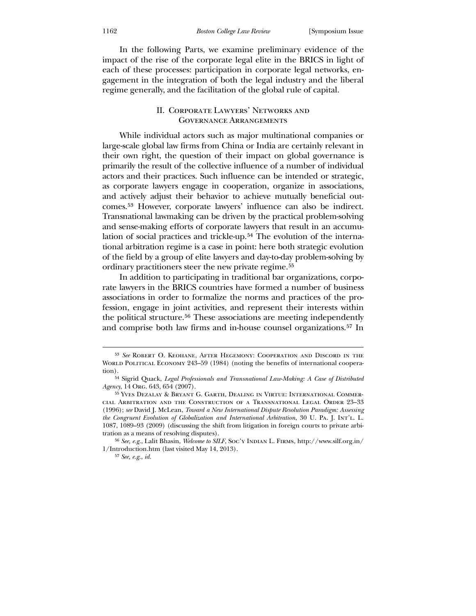[In the following Parts, we examine preliminary evidence of the](#page-13-4)  [impact of the rise of the corporate legal elite in the BRICS in light of](#page-13-4)  [each of these pro](#page-13-4)cesses: participation in corporate legal networks, engagement in the integration of both the legal industry and the liberal regime generally, and the facilitation of the global rule of capital.

#### II. Corporate Lawyers' Networks and Governance Arrangements

While individual actors such as major multinational companies or large-scale global law firms from China or India are certainly relevant in their own right, the question of their impact on global governance is primarily the result of the collective influence of a number of individual actors and their practices. Such influence can be intended or strategic, as corporate lawyers engage in cooperation, organize in associations, and actively adjust their behavior to achieve mutually beneficial outcomes.[53](#page-14-0) However, corporate lawyers' influence can also be indirect. Transnational lawmaking can be driven by the practical problem-solving and sense-making efforts of corporate lawyers that result in an accumulation of social practices and trickle-up.[54](#page-14-1) The evolution of the international arbitration regime is a case in point: here both strategic evolution of the field by a group of elite lawyers and day-to-day problem-solving by ordinary practitioners steer the new private regime.[55](#page-14-2)

 [In addition to participating in traditional bar organizations, corpo](#page-14-2)[rate lawyers in the BRICS countries have formed a number of business](#page-14-2)  [associations in order to formalize the norms and pract](#page-14-2)ices of the profession, engage in joint activities, and represent their interests within the political structure.[56](#page-14-3) These associations are meeting independently and comprise both law firms and in-house counsel organizations.[57](#page-14-4) In

<sup>53</sup> *See* Robert O. Keohane, After Hegemony: Cooperation and Discord in the WORLD POLITICAL ECONOMY 243-59 (1984) (noting the benefits of international cooperation).

<sup>54</sup> Sigrid Quack, *Legal Professionals and Transnational Law-Making: A Case of Distributed Agency*, 14 Org. 643, 654 (2007).

<sup>55</sup> Yves Dezalay & Bryant G. Garth, Dealing in Virtue: International Commercia l Arbitration and the Construction of a Transnational Legal Order 23–33 *d a New International Dispute Resolution Paradigm: Assessing*  (1996); *see* David J. McLean, *Towar the Congruent Evolution of Globalization and International Arbitration*, 30 U. Pa. J. Int'l. L. 1087, 1089–93 (2009) (discussing the shift from litigation in foreign courts to private arbitration as a means of resolving disputes).

<span id="page-14-2"></span><span id="page-14-1"></span><span id="page-14-0"></span><sup>&</sup>lt;sup>56</sup> See, e.g., Lalit Bhasin, *Welcome to SILF*, Soc'y INDIAN L. FIRMS, http://www.silf.org.in/ 1/Introduction.htm (last visited May 14, 2013).

<span id="page-14-4"></span><span id="page-14-3"></span><sup>57</sup> *See, e.g.*, *id.*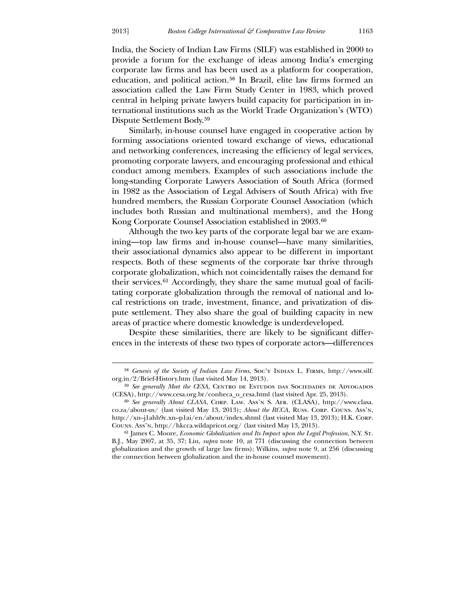<u>.</u>

India, the Society of Indian Law Firms (SILF) was established in 2000 to provide a forum for the exchange of ideas among India's emerging corporate law firms and has been used as a platform for cooperation, education, and political action.[58](#page-15-0) In Brazil, elite law firms formed an association called the Law Firm Study Center in 1983, which proved central in helping private lawyers build capacity for participation in international institutions such as the World Trade Organization's (WTO) Dispute Settlement Body.[59](#page-15-1)

 [Similarly, in-house counsel have engaged in cooperative action by](#page-15-1)  [forming associations oriente](#page-15-1)d toward exchange of views, educational and networking conferences, increasing the efficiency of legal services, promoting corporate lawyers, and encouraging professional and ethical conduct among members. Examples of such associations include the long-standing Corporate Lawyers Association of South Africa (formed in 1982 as the Association of Legal Advisers of South Africa) with five hundred members, the Russian Corporate Counsel Association (which includes both Russian and multinational members), and the Hong Kong Corporate Counsel Association established in 2003.<sup>[60](#page-15-2)</sup>

[ining—top law firms and in-house counsel—have many](#page-15-2) similarities, their associational dynamics also appear to be different in important  [Although the two key parts of the corporate legal bar we are exam](#page-15-2)respects. Both of these segments of the corporate bar thrive through corporate globalization, which not coincidentally raises the demand for their services.[61](#page-15-3) Accordingly, they share the same mutual goal of facilitating corporate globalization through the removal of national and local restrictions on trade, investment, finance, and privatization of dispute settlement. They also share the goal of building capacity in new areas of practice where domestic knowledge is underdeveloped.

 Despite these similarities, there are likely to be significant differenc es in the interests of these two types of corporate actors—differences

<sup>&</sup>lt;sup>58</sup> Genesis of the Society of Indian Law Firms, Soc'y INDIAN L. FIRMS, http://www.silf. org.in/2/Brief-History.htm (last visited May 14, 2013).

<sup>&</sup>lt;sup>59</sup> See generally Meet the CESA, CENTRO DE ESTUDOS DAS SOCIEDADES DE ADVOGADOS (CESA), http://www.cesa.org.br/conheca\_o\_cesa.html (last visited Apr. 25, 2013).

<sup>60</sup> *See generally About CLASA*, Corp. Law. Ass'n S. Afr. (CLASA), http://www.clasa. co.za/about-us/ (last visited May 13, 2013); *About the RCCA*, Russ. Corp. Couns. Ass'n, http://xn--j1ahh9c.xn--p1ai/en/about/index.shtml (last visited May 13, 2013); H.K. Corp. Couns. Ass'n, http://hkcca.wildapricot.org/ (last visited May 13, 2013).

<span id="page-15-3"></span><span id="page-15-2"></span><span id="page-15-1"></span><span id="page-15-0"></span><sup>61</sup> James C. Moore, *Economic Globalization and Its Impact upon the Legal Profession*, N.Y. St. B.J., May 2007, at 35, 37; Liu, *supra* note 10, at 771 (discussing the connection between globalization and the growth of large law firms); Wilkins, *supra* note 9, at 256 (discussing the connection between globalization and the in-house counsel movement).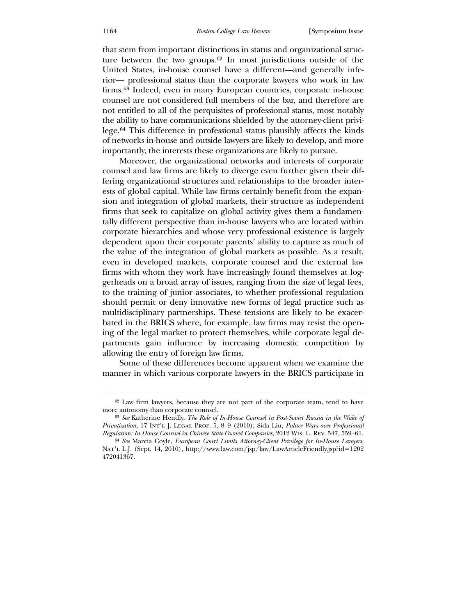that stem from important distinctions in status and organizational structure between the two groups.[62](#page-15-3) In most jurisdictions outside of the United States, in-house counsel have a different—and generally inferior— professional status than the corporate lawyers who work in law firms.[63](#page-16-0) Indeed, even in many European countries, corporate in-house counsel are not considered full members of the bar, and therefore are not entitled to all of the perquisites of professional status, most notably the ability to have communications shielded by the attorney-client privilege.[64](#page-16-1) This difference in professional status plausibly affects the kinds of networks in-house and outside lawyers are likely to develop, and more importantly, the interests these organizations are likely to pursue.

ests of global capital. While law firms certainly benefit from the expansion and integration of global markets, their structure as independent Moreover, the organizational networks and interests of corporate counsel and law firms are likely to diverge even further given their differing organizational structures and relationships to the broader interfirms that seek to capitalize on global activity gives them a fundamentally different perspective than in-house lawyers who are located within corporate hierarchies and whose very professional existence is largely dependent upon their corporate parents' ability to capture as much of the value of the integration of global markets as possible. As a result, even in developed markets, corporate counsel and the external law firms with whom they work have increasingly found themselves at loggerheads on a broad array of issues, ranging from the size of legal fees, to the training of junior associates, to whether professional regulation should permit or deny innovative new forms of legal practice such as multidisciplinary partnerships. These tensions are likely to be exacerbated in the BRICS where, for example, law firms may resist the opening of the legal market to protect themselves, while corporate legal departments gain influence by increasing domestic competition by allowing the entry of foreign law firms.

 Some of these differences become apparent when we examine the manner in which various corporate lawyers in the BRICS participate in

<sup>62</sup> Law firm lawyers, because they are not part of the corporate team, tend to have more autonomy than corporate counsel.

<sup>63</sup> *See* Katherine Hendly, *The Role of In-House Counsel in Post-Soviet Russia in the Wake of Privatization*, 17 Int'l J. Legal Prof. 5, 8–9 (2010); Sida Liu, *Palace Wars over Professional Regulation: In-House Counsel in Chinese State-Owned Companies*, 2012 Wis. L. Rev. 547, 559–61.

<span id="page-16-1"></span><span id="page-16-0"></span><sup>64</sup> *See* Marcia Coyle, *European Court Limits Attorney-Client Privilege for In-House Lawyers*, Nat'l L.J. (Sept. 14, 2010), http://www.law.com/jsp/law/LawArticleFriendly.jsp?id=1202 472041367.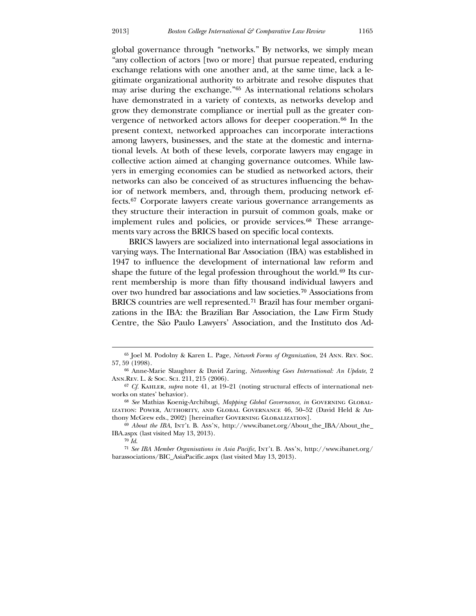global governance through "networks." By networks, we simply mean "any collection of actors [two or more] that pursue repeated, enduring exchange relations with one another and, at the same time, lack a legitimate organizational authority to arbitrate and resolve disputes that may arise during the exchange."[65](#page-17-0) As international relations scholars have demonstrated in a variety of contexts, as networks develop and grow they demonstrate compliance or inertial pull as the greater convergence of networked actors allows for deeper cooperation.[66](#page-17-1) In the present context, networked approaches can incorporate interactions among lawyers, businesses, and the state at the domestic and international levels. At both of these levels, corporate lawyers may engage in collective action aimed at changing governance outcomes. While lawyers in emerging economies can be studied as networked actors, their networks can also be conceived of as structures influencing the behavior of network members, and, through them, producing network effects.[67](#page-17-2) Corporate lawyers create various governance arrangements as they structure their interaction in pursuit of common goals, make or implement rules and policies, or provide services.<sup>[68](#page-17-3)</sup> These arrangements vary across the BRICS based on specific local contexts.

shape the future of the legal profession throughout the world.<sup>69</sup> Its cur- BRICS lawyers are socialized into international legal associations in varying ways. The International Bar Association (IBA) was established in 1947 to influence the development of international law reform and rent membership is more than fifty thousand individual lawyers and over two hundred bar associations and law societies.[70](#page-17-4) Associations from BRICS countries are well represented.[71](#page-17-5) Brazil has four member organizations in the IBA: the Brazilian Bar Association, the Law Firm Study Centre, the São Paulo Lawyers' Association, and the Instituto dos Ad-

<sup>65</sup> Joel M. Podolny & Karen L. Page, *Network Forms of Organization*, 24 Ann. Rev. Soc. 57, 59 (1998).

Ann.Rev. L. & Soc. Sci. 211, 215 (2006). 66 Anne-Marie Slaughter & David Zaring, *Networking Goes International: An Update*, 2

<sup>67</sup> *Cf.* Kahler, *supra* note 41, at 19–21 (noting structural effects of international networks on states' behavior).

ization: Power, Authority, and Global Governance 46, 50–52 (David Held & Anthon y McGrew eds., 2002) [hereinafter Governing Globalization]. 68 *See* Mathias Koenig-Archibugi, *Mapping Global Governance*, *in* Governing Global-

<sup>&</sup>lt;sup>69</sup> *About the IBA*, INT'L B. Ass'N, http://www.ibanet.org/About\_the\_IBA/About\_the\_ IBA.aspx (last visited May 13, 2013).

<sup>70</sup> *Id*.

<span id="page-17-6"></span><span id="page-17-5"></span><span id="page-17-4"></span><span id="page-17-3"></span><span id="page-17-2"></span><span id="page-17-1"></span><span id="page-17-0"></span><sup>&</sup>lt;sup>71</sup> See IBA Member Organisations in Asia Pacific, INT'L B. Ass'N, http://www.ibanet.org/ barassociations/BIC\_AsiaPacific.aspx (last visited May 13, 2013).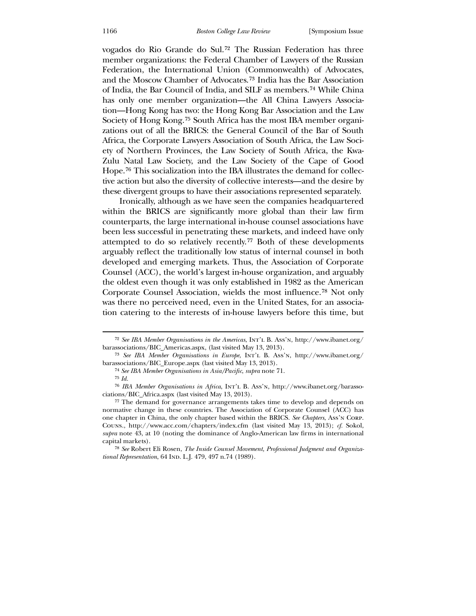vogados do Rio Grande do Sul.[72](#page-17-6) The Russian Federation has three member organizations: the Federal Chamber of Lawyers of the Russian Federation, the International Union (Commonwealth) of Advocates, and the Moscow Chamber of Advocates.[73](#page-18-0) India has the Bar Association of India, the Bar Council of India, and SILF as members.[74](#page-18-1) While China has only one member organization—the All China Lawyers Association—Hong Kong has two: the Hong Kong Bar Association and the Law Society of Hong Kong.[75](#page-18-2) South Africa has the most IBA member organizations out of all the BRICS: the General Council of the Bar of South Africa, the Corporate Lawyers Association of South Africa, the Law Society of Northern Provinces, the Law Society of South Africa, the Kwa-Zulu Natal Law Society, and the Law Society of the Cape of Good Hope.[76](#page-18-3) This socialization into the IBA illustrates the demand for collective action but also the diversity of collective interests—and the desire by these divergent groups to have their associations represented separately.

 Ironically, although as we have seen the companies headquartered within the BRICS are significantly more global than their law firm counterparts, the large international in-house counsel associations have been less successful in penetrating these markets, and indeed have only attempted to do so relatively recently. [77](#page-18-4) Both of these developments arguably reflect the traditionally low status of internal counsel in both developed and emerging markets. Thus, the Association of Corporate Counsel (ACC), the world's largest in-house organization, and arguably the oldest even though it was only established in 1982 as the American Corporate Counsel Association, wields the most influence.[78](#page-18-5) Not only was there no perceived need, even in the United States, for an association catering to the interests of in-house lawyers before this time, but

<sup>72</sup> *See IBA Member Organisations in the Americas*, Int'l B. Ass'n, http://www.ibanet.org/ barassociations/BIC\_Americas.aspx, (last visited May 13, 2013).

<sup>73</sup> *See IBA Member Organisations in Europe*, Int'l B. Ass'n, http://www.ibanet.org/ barassociations/BIC\_Europe.aspx (last visited May 13, 2013).

<sup>74</sup> *See IBA Member Organisations in Asia/Pacific*, *supra* note 71.

<sup>75</sup> *Id.*

<sup>&</sup>lt;sup>76</sup> IBA Member Organisations in Africa, INT'L B. Ass'N, http://www.ibanet.org/barassociations/BIC\_Africa.aspx (last visited May 13, 2013).

normative change in these countries. The Association of Corporate Counsel (ACC) has one chapter in China, the only chapter based within the BRICS. *See Chapters*, Ass'n Corp. 77 The demand for governance arrangements takes time to develop and depends on Couns., http://www.acc.com/chapters/index.cfm (last visited May 13, 2013); *cf.* Sokol, *supra* note 43, at 10 (noting the dominance of Anglo-American law firms in international capital markets).

<span id="page-18-5"></span><span id="page-18-4"></span><span id="page-18-3"></span><span id="page-18-2"></span><span id="page-18-1"></span><span id="page-18-0"></span>*tional Representation,* 64 IND. L.J. 479, 497 n.74 (1989). 78 *See* Robert Eli Rosen, *The Inside Counsel Movement, Professional Judgment and Organiza-*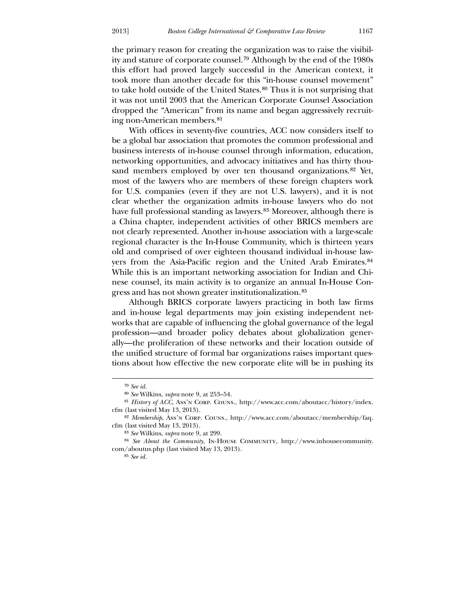the primary reason for creating the organization was to raise the visibility and stature of corporate counsel.[79](#page-19-0) Although by the end of the 1980s this effort had proved largely successful in the American context, it took more than another decade for this "in-house counsel movement" to take hold outside of the United States.[80](#page-19-1) Thus it is not surprising that it was not until 2003 that the American Corporate Counsel Association dropped the "American" from its name and began aggressively recruiting non-American members.[81](#page-19-2)

 [With offices in seventy-five countries, ACC now considers itself to](#page-19-2)  [be a global bar association that promotes the common professional and](#page-19-2)  [business interests of in-house c](#page-19-2)ounsel through information, education, networking opportunities, and advocacy initiatives and has thirty thou-sand members employed by over ten thousand organizations.<sup>[82](#page-19-3)</sup> Yet, most of the lawyers who are members of these foreign chapters work for U.S. companies (even if they are not U.S. lawyers), and it is not clear whether the organization admits in-house lawyers who do not have full professional standing as lawyers.<sup>[83](#page-19-4)</sup> Moreover, although there is a China chapter, independent activities of other BRICS members are not clearly represented. Another in-house association with a large-scale regional character is the In-House Community, which is thirteen years old and comprised of over eighteen thousand individual in-house lawyers from the Asia-Pacific region and the United Arab Emirates.[84](#page-19-5) While this is an important networking association for Indian and Chinese counsel, its main activity is to organize an annual In-House Congress and has not shown greater institutionalization.[85](#page-19-6)

[works that are capable of influencing the global g](#page-19-6)overnance of the legal profession—and broader policy debates about globalization generthe unified structure of formal bar organizations raises important questions about how effective the new corporate elite will be in pushing its  [Although BRICS corporate lawyers practicing in both law firms](#page-19-6)  [and in-house legal departments may join existing independent net](#page-19-6)ally—the proliferation of these networks and their location outside of

 $\overline{a}$ 

<sup>79</sup> *See id.*

<sup>80</sup> *See* Wilkins, *supra* note 9, at 253–54.

<sup>81</sup> *History of ACC*, Ass'n Corp. Couns., http://www.acc.com/aboutacc/history/index. cfm (last visited May 13, 2013).

<sup>82</sup> *Membership*, Ass'n Corp. Couns., http://www.acc.com/aboutacc/membership/faq. cfm (last visited May 13, 2013).

<sup>83</sup> *See* Wilkins, *supra* note 9, at 299.

<span id="page-19-4"></span><span id="page-19-3"></span><span id="page-19-2"></span><span id="page-19-1"></span><span id="page-19-0"></span><sup>84</sup> *See About the Community*, In-House Community, http://www.inhousecommunity. com/aboutus.php (last visited May 13, 2013).

<span id="page-19-6"></span><span id="page-19-5"></span><sup>85</sup> *See id.*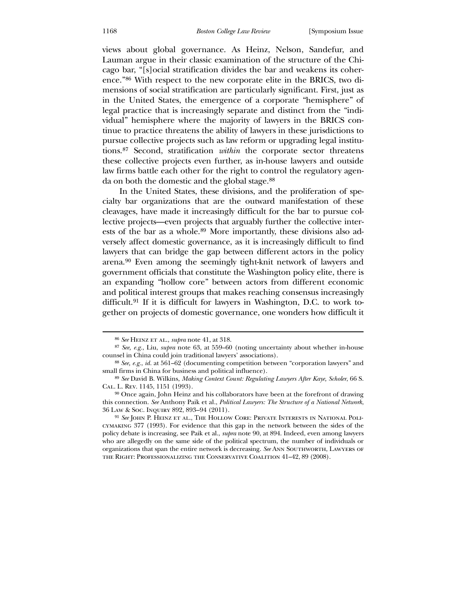views about global governance. As Heinz, Nelson, Sandefur, and Lauman argue in their classic examination of the structure of the Chicago bar, "[s]ocial stratification divides the bar and weakens its coherence."[86](#page-20-0) With respect to the new corporate elite in the BRICS, two dimensions of social stratification are particularly significant. First, just as in the United States, the emergence of a corporate "hemisphere" of legal practice that is increasingly separate and distinct from the "individual" hemisphere where the majority of lawyers in the BRICS continue to practice threatens the ability of lawyers in these jurisdictions to pursue collective projects such as law reform or upgrading legal institutions.[87](#page-20-1) Second, stratification *within* the corporate sector threatens these collective projects even further, as in-house lawyers and outside law firms battle each other for the right to control the regulatory agenda on both the domestic and the global stage.[88](#page-20-2)

 [In the United States, these divisions, and the proliferation of spe](#page-20-2)[cialty bar organizations that are the outward manifestation of these](#page-20-2)  [cleavages, have made it increasingly difficult for the bar to pursue col](#page-20-2)[lective projects—even projects that arguably further the collective inter](#page-20-2)[ests of the bar as a whole.](#page-20-2)89 More importantly, these divisions also adversely affect domestic governance, as it is increasingly difficult to find lawyers that can bridge the gap between different actors in the policy arena.[90](#page-20-3) Even among the seemingly tight-knit network of lawyers and government officials that constitute the Washington policy elite, there is an expanding "hollow core" between actors from different economic and political interest groups that makes reaching consensus increasingly difficult.[91](#page-20-4) If it is difficult for lawyers in Washington, D.C. to work together on projects of domestic governance, one wonders how difficult it

<sup>86</sup> *See* Heinz et al., *supra* note 41, at 318.

<sup>87</sup> *See, e.g.*, Liu, *supra* note 63, at 559–60 (noting uncertainty about whether in-house counsel in China could join traditional lawyers' associations).

<sup>88</sup> *See, e.g.*, *id.* at 561–62 (documenting competition between "corporation lawyers" and small firms in China for business and political influence).

<sup>89</sup> *See* David B. Wilkins, *Making Context Count: Regulating Lawyers After Kaye, Scholer*, 66 S. Cal . L. Rev. 1145, 1151 (1993).

*tructure of a National Network*, this connection. *See* Anthony Paik et al., *Political Lawyers: The S* 36 L aw & Soc. Inquiry 892, 893–94 (2011). 90 Once again, John Heinz and his collaborators have been at the forefront of drawing

<span id="page-20-5"></span><span id="page-20-4"></span><span id="page-20-3"></span><span id="page-20-2"></span><span id="page-20-1"></span><span id="page-20-0"></span><sup>&</sup>lt;sup>91</sup> *See* John P. Heinz et al., The Hollow Core: Private Interests in National Policym aking 377 (1993). For evidence that this gap in the network between the sides of the policy debate is increasing, see Paik et al., *supra* note 90, at 894. Indeed, even among lawyers who are allegedly on the same side of the political spectrum, the number of individuals or the Right: Professionalizing the Conservative Coalition 41–42, 89 (2008). organizations that span the entire network is decreasing. *See* Ann Southworth, Lawyers of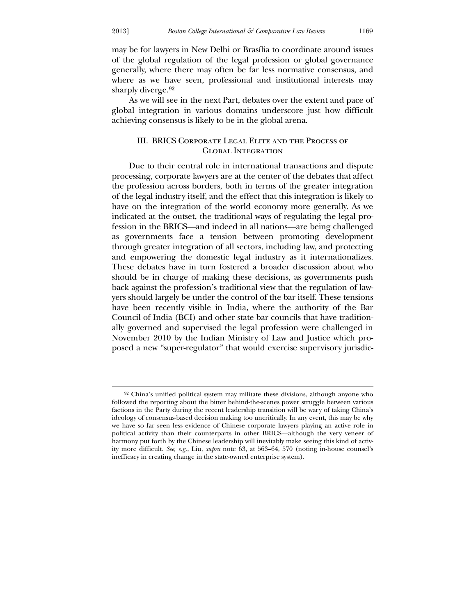<u>.</u>

may be for lawyers in New Delhi or Brasília to coordinate around issues of the global regulation of the legal profession or global governance generally, where there may often be far less normative consensus, and where as we have seen, professional and institutional interests may sharply diverge.<sup>[92](#page-20-5)</sup>

 As we [will see in the next Part, debates over the extent and pace of](#page-20-5)  [global integration](#page-20-5) in various domains underscore just how difficult achieving consensus is likely to be in the global arena.

#### III. BRICS CORPORATE LEGAL ELITE AND THE PROCESS OF Global Integration

Due to their central role in international transactions and dispute processing, corporate lawyers are at the center of the debates that affect November 2010 by the Indian Ministry of Law and Justice which propos ed a new "super-regulator" that would exercise supervisory jurisdic the profession across borders, both in terms of the greater integration of the legal industry itself, and the effect that this integration is likely to have on the integration of the world economy more generally. As we indicated at the outset, the traditional ways of regulating the legal profession in the BRICS—and indeed in all nations—are being challenged as governments face a tension between promoting development through greater integration of all sectors, including law, and protecting and empowering the domestic legal industry as it internationalizes. These debates have in turn fostered a broader discussion about who should be in charge of making these decisions, as governments push back against the profession's traditional view that the regulation of lawyers should largely be under the control of the bar itself. These tensions have been recently visible in India, where the authority of the Bar Council of India (BCI) and other state bar councils that have traditionally governed and supervised the legal profession were challenged in

<sup>92</sup> China's unified political system may militate these divisions, although anyone who followed the reporting about the bitter behind-the-scenes power struggle between various factions in the Party during the recent leadership transition will be wary of taking China's ideology of consensus-based decision making too uncritically. In any event, this may be why we have so far seen less evidence of Chinese corporate lawyers playing an active role in political activity than their counterparts in other BRICS—although the very veneer of harmony put forth by the Chinese leadership will inevitably make seeing this kind of activity more difficult. *See, e.g.*, Liu, *supra* note 63, at 563–64, 570 (noting in-house counsel's inefficacy in creating change in the state-owned enterprise system).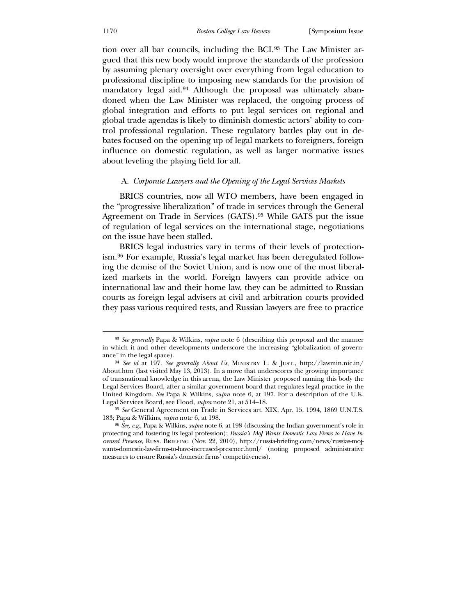tion over all bar councils, including the BCI.[93](#page-22-0) The Law Minister argued that this new body would improve the standards of the profession by assuming plenary oversight over everything from legal education to professional discipline to imposing new standards for the provision of mandatory legal aid.<sup>[94](#page-22-1)</sup> Although the proposal was ultimately abandoned when the Law Minister was replaced, the ongoing process of global integration and efforts to put legal services on regional and global trade agendas is likely to diminish domestic actors' ability to control professional regulation. These regulatory battles play out in debates focused on the opening up of legal markets to foreigners, foreign influence on domestic regulation, as well as larger normative issues about leveling the playing field for all.

#### A. *Corporate Lawyers and the Opening of the Legal Services Markets*

 BRICS countries, now all WTO members, have been engaged in the "progressive liberalization" of trade in services through the General Agreement on Trade in Services (GATS).<sup>95</sup> While GATS put the issue of regulation of legal services on the international stage, negotiations on the issue have been stalled.

ized markets in the world. Foreign lawyers can provide advice on international law and their home law, they can be admitted to Russian BRICS legal industries vary in terms of their levels of protectionism.[96](#page-22-2) For example, Russia's legal market has been deregulated following the demise of the Soviet Union, and is now one of the most liberalcourts as foreign legal advisers at civil and arbitration courts provided they pass various required tests, and Russian lawyers are free to practice

<sup>93</sup> *See generally* Papa & Wilkins, *supra* note 6 (describing this proposal and the manner in which it and other developments underscore the increasing "globalization of governance" in the legal space).

<sup>94</sup> *See id* at 197. *See generally About Us*, Ministry L. & Just., http://lawmin.nic.in/ About.htm (last visited May 13, 2013). In a move that underscores the growing importance of transnational knowledge in this arena, the Law Minister proposed naming this body the Legal Services Board, after a similar government board that regulates legal practice in the United Kingdom. *See* Papa & Wilkins, *supra* note 6, at 197. For a description of the U.K. Legal Services Board, see Flood, *supra* note 21, at 514–18.

<sup>95</sup> *See* General Agreement on Trade in Services art. XIX, Apr. 15, 1994, 1869 U.N.T.S. 183; Papa & Wilkins, *supra* note 6, at 198.

<span id="page-22-3"></span><span id="page-22-2"></span><span id="page-22-1"></span><span id="page-22-0"></span><sup>96</sup> *See, e.g.*, Papa & Wilkins, *supra* note 6, at 198 (discussing the Indian government's role in protecting and fostering its legal profession); *Russia's MoJ Wants Domestic Law Firms to Have Increased Presence*, Russ. Briefing (Nov. 22, 2010), http://russia-briefing.com/news/russias-mojwants-domestic-law-firms-to-have-increased-presence.html/ (noting proposed administrative measures to ensure Russia's domestic firms' competitiveness).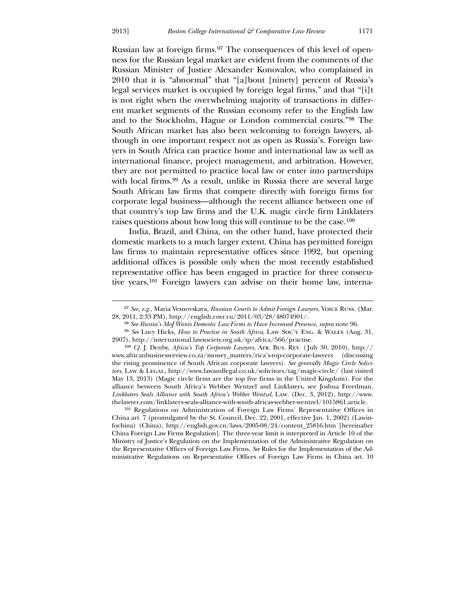$\overline{a}$ 

Russian law at foreign firms.[97](#page-22-3) The consequences of this level of openness for the Russian legal market are evident from the comments of the Russian Minister of Justice Alexander Konovalov, who complained in 2010 that it is "abnormal" that "[a]bout [ninety] percent of Russia's legal services market is occupied by foreign legal firms," and that "[i]t is not right when the overwhelming majority of transactions in different market segments of the Russian economy refer to the English law and to the Stockholm, Hague or London commercial courts."[98](#page-23-0) The South African market has also been welcoming to foreign lawyers, although in one important respect not as open as Russia's. Foreign lawyers in South Africa can practice home and international law as well as international finance, project management, and arbitration. However, they are not permitted to practice local law or enter into partnerships with local firms.<sup>[99](#page-23-1)</sup> As a result, unlike in Russia there are several large South African law firms that compete directly with foreign firms for corporate legal business—although the recent alliance between one of that country's top law firms and the U.K. magic circle firm Linklaters raises questions about how long this will continue to be the case.[100](#page-23-2)

 India, Brazil, [and China, on the other hand, have protected their](#page-23-2)  [domestic markets to a much larger extent. China has permitted foreign](#page-23-2)  [law firms to maintain representative offices since 1992, but open](#page-23-2)ing additional offices is possible only when the most recently established representative office has been engaged in practice for three consecutive years.[101](#page-23-3) Foreign lawyers can advise on their home law, interna-

<span id="page-23-3"></span><span id="page-23-2"></span><span id="page-23-1"></span><span id="page-23-0"></span>Chin a Foreign Law Firms Regulation]. The three-year limit is interpreted in Article 10 of the 101 Regulations on Administration of Foreign Law Firms' Representative Offices in China art. 7 (promulgated by the St. Council, Dec. 22, 2001, effective Jan. 1, 2002) (Lawinfochina) (China), http://english.gov.cn/laws/2005-08/24/content\_25816.htm [hereinafter Ministry of Justice's Regulation on the Implementation of the Administrative Regulation on the Representative Offices of Foreign Law Firms. *See* Rules for the Implementation of the Administrative Regulations on Representative Offices of Foreign Law Firms in China art. 10

<sup>97</sup> *See, e.g.*, Maria Vesnovskaya, *Russian Courts to Admit Foreign Lawyers*, Voice Russ. (Mar. 28, 2011, 2:33 PM), http://english.ruvr.ru/2011/03/28/48074901/.

<sup>98</sup> *See Russia's MoJ Wants Domestic Law Firms to Have Increased Presence*, *supra* note 96.

<sup>99</sup> *See* Lucy Hicks, *How to Practise in South Africa*, Law Soc'y Eng. & Wales (Aug. 31, 2007), http://international.lawsociety.org.uk/ip/africa/566/practise.

<sup>://</sup>  100 *Cf.* J. Denby, *Africa's Top Corporate Lawyers*, Afr. Bus. Rev. ( July 30, 2010), http www .africanbusinessreview.co.za/money\_matters/rica's-top-corporate-lawyers (discussing the rising prominence of South African corporate lawyers). See generally Magic Circle Solicitors, Law & Legal, http://www.lawandlegal.co.uk/solicitors/tag/magic-circle/ (last visited May 13, 2013) (Magic circle firms are the top five firms in the United Kingdom). For the alliance between South Africa's Webber Wentzel and Linklaters, see Joshua Freedman, *Linklaters Seals Alliance with South Africa's Webber Wentzel*, Law. (Dec. 3, 2012), http://www. thelawyer.com/linklaters-seals-alliance-with-south-africas-webber-wentzel/1015861.article.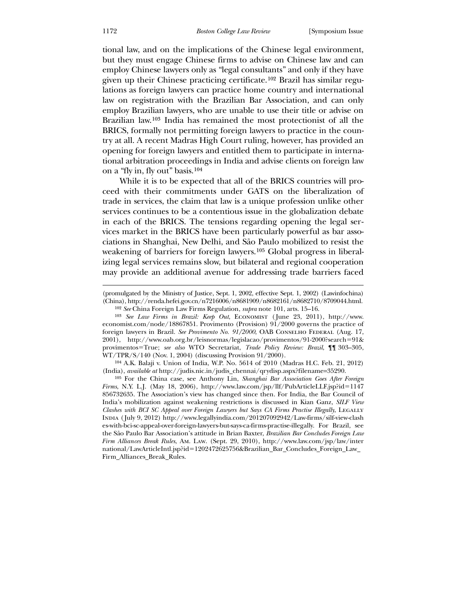tional law, and on the implications of the Chinese legal environment, but they must engage Chinese firms to advise on Chinese law and can employ Chinese lawyers only as "legal consultants" and only if they have given up their Chinese practicing certificate.[102](#page-24-0) Brazil has similar regulations as foreign lawyers can practice home country and international law on registration with the Brazilian Bar Association, and can only employ Brazilian lawyers, who are unable to use their title or advise on Brazilian law.[103](#page-24-1) India has remained the most protectionist of all the BRICS, formally not permitting foreign lawyers to practice in the country at all. A recent Madras High Court ruling, however, has provided an opening for foreign lawyers and entitled them to participate in international arbitration proceedings in India and advise clients on foreign law on a "fly in, fly out" basis.[104](#page-24-2)

 While it is to be expected that all of the BRICS countries will proceed with their commitments under GATS on the liberalization of trade in services, the claim that law is a unique profession unlike other services continues to be a contentious issue in the globalization debate in each of the BRICS. The tensions regarding opening the legal services market in the BRICS have been particularly powerful as bar associations in Shanghai, New Delhi, and São Paulo mobilized to resist the weakening of barriers for foreign lawyers.[105](#page-24-3) Global progress in liberalizing legal services remains slow, but bilateral and regional cooperation may provide an additional avenue for addressing trade barriers faced

px?filename=35290. (India), *available at* http://judis.nic.in/judis\_chennai/qrydisp.as 104 A.K. Balaji v. Union of India, W.P. No. 5614 of 2010 (Madras H.C. Feb. 21, 2012)

<span id="page-24-3"></span><span id="page-24-2"></span><span id="page-24-1"></span><span id="page-24-0"></span>1147 *Firms*, N.Y. L.J. (May 18, 2006), http://www.law.com/jsp/llf/PubArticleLLF.jsp?id= 856 732635. The Association's view has changed since then. For India, the Bar Council of 105 For the China case, see Anthony Lin, *Shanghai Bar Association Goes After Foreign*  India's mobilization against weakening restrictions is discussed in Kian Ganz, *SILF View Clashes with BCI SC Appeal over Foreign Lawyers but Says CA Firms Practise Illegally*, LEGALLY India ( July 9, 2012) http://www.legallyindia.com/201207092942/Law-firms/silf-view-clash es-with-bci-sc-appeal-over-foreign-lawyers-but-says-ca-firms-practise-illegally. For Brazil, see the São Paulo Bar Association's attitude in Brian Baxter, *Brazilian Bar Concludes Foreign Law Firm Alliances Break Rules*, Am. Law. (Sept. 29, 2010), http://www.law.com/jsp/law/inter national/LawArticleIntl.jsp?id=1202472625756&Brazilian\_Bar\_Concludes\_Foreign\_Law\_ Firm\_Alliances\_Break\_Rules.

<sup>(</sup>promulgated by the Ministry of Justice, Sept. 1, 2002, effective Sept. 1, 2002) (Lawinfochina) (China), http://renda.hefei.gov.cn/n7216006/n8681909/n8682161/n8682710/8709044.html. 102 *See* China Foreign Law Firms Regulation, *supra* note 101, arts. 15–16.

<sup>103</sup> *See Law Firms in Brazil: Keep Out*, Economist ( June 23, 2011), http://www. economist.com/node/18867851. Provimento (Provision) 91/2000 governs the practice of fore ign lawyers in Brazil. *See Provimento No. 91/2000*, OAB Conselho Federal (Aug. 17, 2001), http://www.oab.org.br/leisnormas/legislacao/provimentos/91-2000?search=91& provimentos=True; *see also* WTO Secretariat, *Trade Policy Review: Brazil*, ¶¶ 303–305, WT/TPR/S/140 (Nov. 1, 2004) (discussing Provision 91/2000).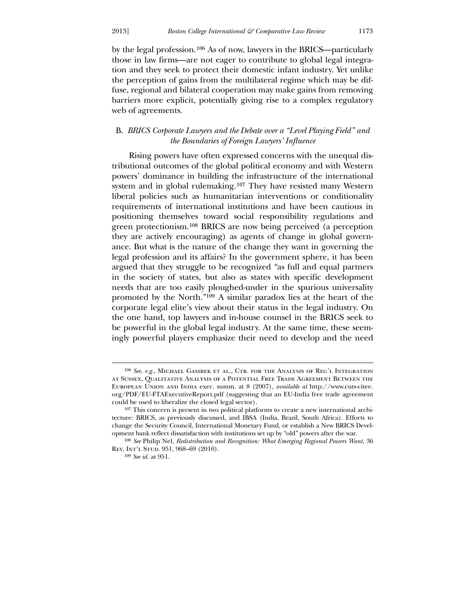by the legal profession.[106](#page-25-0) As of now, lawyers in the BRICS—particularly those in law firms—are not eager to contribute to global legal integration and they seek to protect their domestic infant industry. Yet unlike the perception of gains from the multilateral regime which may be diffuse, regional and bilateral cooperation may make gains from removing barriers more explicit, potentially giving rise to a complex regulatory web of agreements.

## B. *BRICS Corporate Lawyers and the Debate over a "Level Playing Field" and the Boundaries of Foreign Lawyers' Influence*

tributional outcomes of the global political economy and with Western powers' dominance in building the infrastructure of the international ingly powerful players emphasize their need to develop and the need Rising powers have often expressed concerns with the unequal dis-system and in global rulemaking.<sup>[107](#page-25-1)</sup> They have resisted many Western liberal policies such as humanitarian interventions or conditionality requirements of international institutions and have been cautious in positioning themselves toward social responsibility regulations and green protectionism.[108](#page-25-2) BRICS are now being perceived (a perception they are actively encouraging) as agents of change in global governance. But what is the nature of the change they want in governing the legal profession and its affairs? In the government sphere, it has been argued that they struggle to be recognized "as full and equal partners in the society of states, but also as states with specific development needs that are too easily ploughed-under in the spurious universality promoted by the North."[109](#page-25-3) A similar paradox lies at the heart of the corporate legal elite's view about their status in the legal industry. On the one hand, top lawyers and in-house counsel in the BRICS seek to be powerful in the global legal industry. At the same time, these seem-

 $\overline{a}$ 

<u>.</u>

<sup>106</sup> *See, e.g.*, Michael Gasirek et al., Ctr. for the Analysis of Reg'l Integration at Sussex, Qualitative Analysis of a Potential Free Trade Agreement Between the European Union and India exec. summ. at 8 (2007), *available at* http://www.cuts-citee. org/PDF/EU-FTAExecutiveReport.pdf (suggesting that an EU-India free trade agreement could be used to liberalize the closed legal sector).

<sup>107</sup> This concern is present in two political platforms to create a new international architecture: BRICS, as previously discussed, and IBSA (India, Brazil, South Africa). Efforts to change the Security Council, International Monetary Fund, or establish a New BRICS Development bank reflect dissatisfaction with institutions set up by "old" powers after the war.

<span id="page-25-1"></span><span id="page-25-0"></span><sup>108</sup> *See* Philip Nel, *Redistribution and Recognition: What Emerging Regional Powers Want*, 36 Rev. Int'l Stud. 951, 968–69 (2010).

<span id="page-25-3"></span><span id="page-25-2"></span><sup>109</sup> *See id.* at 951.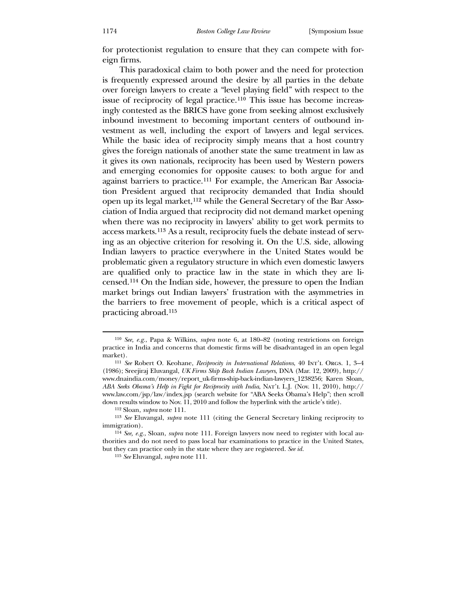for protectionist regulation to ensure that they can compete with foreign firms.

 This paradoxical claim to both power and the need for protection is frequently expressed around the desire by all parties in the debate over foreign lawyers to create a "level playing field" with respect to the issue of reciprocity of legal practice.<sup>[110](#page-26-0)</sup> This issue has become increasingly contested as the BRICS have gone from seeking almost exclusively inbound investment to becoming important centers of outbound investment as well, including the export of lawyers and legal services. While the basic idea of reciprocity simply means that a host country gives the foreign nationals of another state the same treatment in law as it gives its own nationals, reciprocity has been used by Western powers and emerging economies for opposite causes: to both argue for and against barriers to practice.[111](#page-26-1) For example, the American Bar Association President argued that reciprocity demanded that India should open up its legal market,[112](#page-26-2) while the General Secretary of the Bar Association of India argued that reciprocity did not demand market opening when there was no reciprocity in lawyers' ability to get work permits to access markets.[113](#page-26-3) As a result, reciprocity fuels the debate instead of serving as an objective criterion for resolving it. On the U.S. side, allowing Indian lawyers to practice everywhere in the United States would be problematic given a regulatory structure in which even domestic lawyers are qualified only to practice law in the state in which they are licensed.[114](#page-26-4) On the Indian side, however, the pressure to open the Indian market brings out Indian lawyers' frustration with the asymmetries in the barriers to free movement of people, which is a critical aspect of practicing abroad.[115](#page-26-5)

<sup>110</sup> *See, e.g.*, Papa & Wilkins, *supra* note 6, at 180–82 (noting restrictions on foreign pra ctice in India and concerns that domestic firms will be disadvantaged in an open legal market).

<sup>&</sup>lt;sup>111</sup> See Robert O. Keohane, *Reciprocity in International Relations*, 40 Int'l Orgs. 1, 3-4 (19 86); Sreejiraj Eluvangal, *UK Firms Ship Back Indian Lawyers*, DNA (Mar. 12, 2009), http:// www.dnaindia.com/money/report\_uk-firms-ship-back-indian-lawyers\_1238256; Karen Sloan, *ABA Seeks Obama's Help in Fight for Reciprocity with India*, Nat'l L.J. (Nov. 11, 2010), http:// www.law.com/jsp/law/index.jsp (search website for "ABA Seeks Obama's Help"; then scroll down results window to Nov. 11, 2010 and follow the hyperlink with the article's title).

<sup>112</sup> Sloan, *supra* note 111.

<sup>&</sup>lt;sup>113</sup> See Eluvangal, *supra* note 111 (citing the General Secretary linking reciprocity to imm igration).

<span id="page-26-1"></span><span id="page-26-0"></span><sup>&</sup>lt;sup>114</sup> See, e.g., Sloan, supra note 111. Foreign lawyers now need to register with local autho rities and do not need to pass local bar examinations to practice in the United States, but they can practice only in the state where they are registered. *See id.*

<span id="page-26-5"></span><span id="page-26-4"></span><span id="page-26-3"></span><span id="page-26-2"></span><sup>115</sup> *See* Eluvangal, *supra* note 111.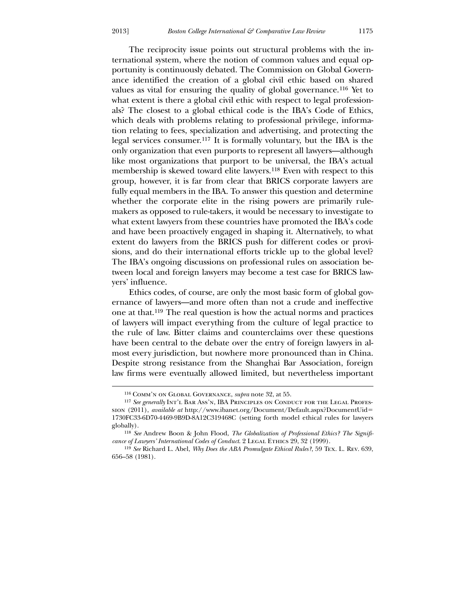[The reciprocity issue points out structural problems with the in](#page-26-5)[ternational system, wh](#page-26-5)ere the notion of common values and equal opportunity is continuously debated. The Commission on Global Governance identified the creation of a global civil ethic based on shared values as vital for ensuring the quality of global governance.[116](#page-27-0) Yet to what extent is there a global civil ethic with respect to legal professionals? The closest to a global ethical code is the IBA's Code of Ethics, which deals with problems relating to professional privilege, information relating to fees, specialization and advertising, and protecting the legal services consumer.[117](#page-27-1) It is formally voluntary, but the IBA is the only organization that even purports to represent all lawyers—although like most organizations that purport to be universal, the IBA's actual membership is skewed toward elite lawyers.[118](#page-27-2) Even with respect to this group, however, it is far from clear that BRICS corporate lawyers are fully equal members in the IBA. To answer this question and determine whether the corporate elite in the rising powers are primarily rulemakers as opposed to rule-takers, it would be necessary to investigate to what extent lawyers from these countries have promoted the IBA's code and have been proactively engaged in shaping it. Alternatively, to what extent do lawyers from the BRICS push for different codes or provisions, and do their international efforts trickle up to the global level? The IBA's ongoing discussions on professional rules on association between local and foreign lawyers may become a test case for BRICS lawyers' influence.

ernance of lawyers—and more often than not a crude and ineffective one at that.<sup>[119](#page-27-3)</sup> The real question is how the actual norms and practices law firms were eventually allowed limited, but nevertheless important Ethics codes, of course, are only the most basic form of global govof lawyers will impact everything from the culture of legal practice to the rule of law. Bitter claims and counterclaims over these questions have been central to the debate over the entry of foreign lawyers in almost every jurisdiction, but nowhere more pronounced than in China. Despite strong resistance from the Shanghai Bar Association, foreign

<u>.</u>

<sup>116</sup> Comm'n on Global Governance, *supra* note 32, at 55.

<sup>117</sup> See generally INT'L BAR Ass'N, IBA PRINCIPLES ON CONDUCT FOR THE LEGAL PROFESsion (2011), *available at* http://www.ibanet.org/Document/Default.aspx?DocumentUid= 1730FC33-6D70-4469-9B9D-8A12C319468C (setting forth model ethical rules for lawyers globally).

<sup>118</sup> *See* Andrew Boon & John Flood, *The Globalization of Professional Ethics? The Significance of Lawyers' International Codes of Conduct.* 2 LEGAL ETHICS 29, 32 (1999).

<span id="page-27-3"></span><span id="page-27-2"></span><span id="page-27-1"></span><span id="page-27-0"></span><sup>119</sup> *See* Richard L. Abel, *Why Does the ABA Promulgate Ethical Rules?*, 59 Tex. L. Rev. 639, 656–58 (1981).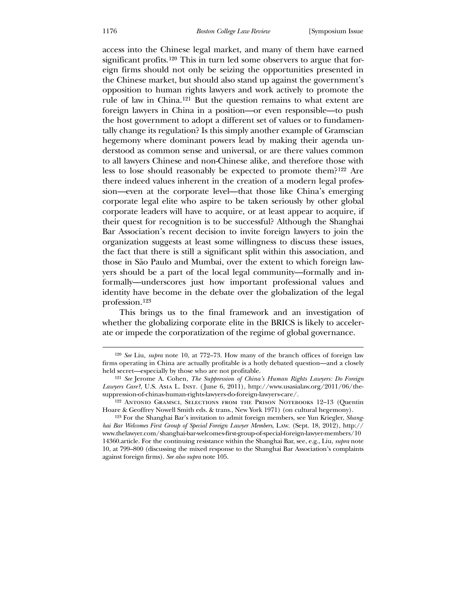access into the Chinese legal market, and many of them have earned significant profits.[120](#page-28-0) This in turn led some observers to argue that foreign firms should not only be seizing the opportunities presented in the Chinese market, but should also stand up against the government's opposition to human rights lawyers and work actively to promote the rule of law in China.[121](#page-28-1) But the question remains to what extent are foreign lawyers in China in a position—or even responsible—to push the host government to adopt a different set of values or to fundamentally change its regulation? Is this simply another example of Gramscian hegemony where dominant powers lead by making their agenda understood as common sense and universal, or are there values common to all lawyers Chinese and non-Chinese alike, and therefore those with less to lose should reasonably be expected to promote them?[122](#page-28-2) Are there indeed values inherent in the creation of a modern legal profession—even at the corporate level—that those like China's emerging corporate legal elite who aspire to be taken seriously by other global corporate leaders will have to acquire, or at least appear to acquire, if their quest for recognition is to be successful? Although the Shanghai Bar Association's recent decision to invite foreign lawyers to join the organization suggests at least some willingness to discuss these issues, the fact that there is still a significant split within this association, and those in São Paulo and Mumbai, over the extent to which foreign lawyers should be a part of the local legal community—formally and informally—underscores just how important professional values and identity have become in the debate over the globalization of the legal profession.[123](#page-28-3)

[This brings us to the final framework and an investigation of](#page-28-3)  [whether the globalizing corporate elite in the BRICS is likely to acceler](#page-28-3)[ate or impede](#page-28-3) the corporatization of the regime of global governance.

<sup>120</sup> *See* Liu, *supra* note 10, at 772–73. How many of the branch offices of foreign law firms operating in China are actually profitable is a hotly debated question—and a closely held secret—especially by those who are not profitable.

<sup>121</sup> *See* Jerome A. Cohen, *The Suppression of China's Human Rights Lawyers: Do Foreign Lawyers Care?*, U.S. Asia L. Inst. ( June 6, 2011), http://www.usasialaw.org/2011/06/thesuppression-of-chinas-human-rights-lawyers-do-foreign-lawyers-care/.

<sup>122</sup> Antonio Gramsci, Selections from the Prison Notebooks 12–13 (Quentin Hoare & Geoffrey Nowell Smith eds. & trans., New York 1971) (on cultural hegemony).

<span id="page-28-3"></span><span id="page-28-2"></span><span id="page-28-1"></span><span id="page-28-0"></span><sup>123</sup> For the Shanghai Bar's invitation to admit foreign members, see Yun Kriegler, *Shanghai Bar Welcomes First Group of Special Foreign Lawyer Members*, Law. (Sept. 18, 2012), http:// www.thelawyer.com/shanghai-bar-welcomes-first-group-of-special-foreign-lawyer-members/10 14360.article. For the continuing resistance within the Shanghai Bar, see, e.g., Liu, *supra* note 10, at 799–800 (discussing the mixed response to the Shanghai Bar Association's complaints against foreign firms). *See also supra* note 105.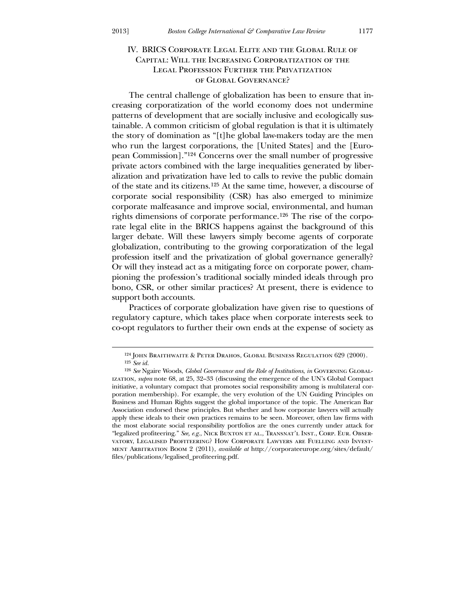## IV. BRICS Corporate Legal Elite and the Global Rule of Capital: Will the Increasing Corporatization of the Legal Profession Further the Privatization of Global Governance?

The central challenge of globalization has been to ensure that increasing corporatization of the world economy does not undermine patterns of development that are socially inclusive and ecologically sustainable. A common criticism of global regulation is that it is ultimately the story of domination as "[t]he global law-makers today are the men who run the largest corporations, the [United States] and the [European Commission]."[124](#page-29-0) Concerns over the small number of progressive private actors combined with the large inequalities generated by liberalization and privatization have led to calls to revive the public domain of the state and its citizens.[125](#page-29-1) At the same time, however, a discourse of corporate social responsibility (CSR) has also emerged to minimize corporate malfeasance and improve social, environmental, and human rights dimensions of corporate performance.[126](#page-29-2) The rise of the corporate legal elite in the BRICS happens against the background of this larger debate. Will these lawyers simply become agents of corporate globalization, contributing to the growing corporatization of the legal profession itself and the privatization of global governance generally? Or will they instead act as a mitigating force on corporate power, championing the profession's traditional socially minded ideals through pro bono, CSR, or other similar practices? At present, there is evidence to support both accounts.

co-opt regulators to further their own ends at the expense of society as Practices of corporate globalization have given rise to questions of regulatory capture, which takes place when corporate interests seek to

<u>.</u>

<sup>124</sup> John Braithwaite & Peter Drahos, Global Business Regulation 629 (2000). 125 *See id.*

<span id="page-29-2"></span><span id="page-29-1"></span><span id="page-29-0"></span><sup>126</sup> *See* Ngaire Woods, *Global Governance and the Role of Institutions*, *in* Governing Globalization, *supra* note 68, at 25, 32–33 (discussing the emergence of the UN's Global Compact initiative, a voluntary compact that promotes social responsibility among is multilateral corporation membership). For example, the very evolution of the UN Guiding Principles on Business and Human Rights suggest the global importance of the topic. The American Bar Association endorsed these principles. But whether and how corporate lawyers will actually apply these ideals to their own practices remains to be seen. Moreover, often law firms with the most elaborate social responsibility portfolios are the ones currently under attack for "legalized profiteering." See, e.g., NICK BUXTON ET AL., TRANSNAT'L INST., CORP. EUR. OBSERvatory, Legalised Profiteering? How Corporate Lawyers are Fuelling and Investment Arbitration Boom 2 (2011), *available at* http://corporateeurope.org/sites/default/ files/publications/legalised\_profiteering.pdf.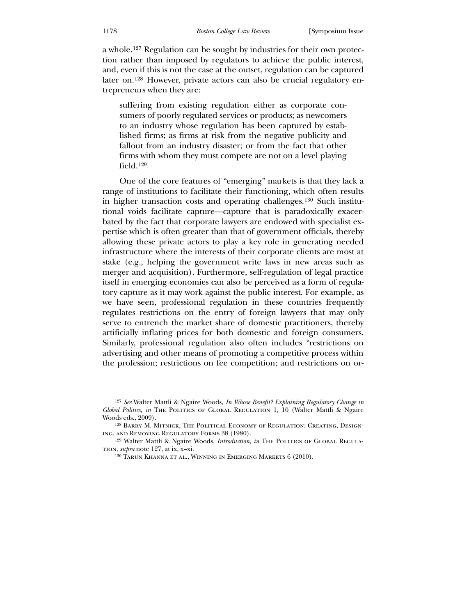a whole.[127](#page-29-2) Regulation can be sought by industries for their own protection rather than imposed by regulators to achieve the public interest, and, even if this is not the case at the outset, regulation can be captured later on.[128](#page-30-0) However, private actors can also be crucial regulatory entrepreneurs when they are:

fallout from an industry disaster; or from the fact that other suffering from existing regulation either as corporate consumers of poorly regulated services or products; as newcomers to an industry whose regulation has been captured by established firms; as firms at risk from the negative publicity and firms with whom they must compete are not on a level playing field.[129](#page-30-1)

[One of the core features of "emerging" markets is that they lac](#page-30-1)k a rang[e of institutions to facilitate their functioning, which often resu](#page-30-1)lts in h[igher transaction costs and operating challenges.](#page-30-1)<sup>130</sup> Such institution[al voids facilitate capture—capture that is paradoxically exa](#page-30-1)cerbate[d by the f](#page-30-1)act that corporate lawyers are endowed with specialist expertise which is often greater than that of government officials, thereby allowing these private actors to play a key role in generating needed infrastructure where the interests of their corporate clients are most at stake (e.g., helping the government write laws in new areas such as merger and acquisition). Furthermore, self-regulation of legal practice itself in emerging economies can also be perceived as a form of regulatory capture as it may work against the public interest. For example, as we have seen, professional regulation in these countries frequently regulates restrictions on the entry of foreign lawyers that may only serve to entrench the market share of domestic practitioners, thereby artificially inflating prices for both domestic and foreign consumers. Similarly, professional regulation also often includes "restrictions on advertising and other means of promoting a competitive process within the profession; restrictions on fee competition; and restrictions on or-

<sup>127</sup> *See* Walter Mattli & Ngaire Woods, *In Whose Benefit? Explaining Regulatory Change in Global Politics*, *in* The Politics of Global Regulation 1, 10 (Walter Mattli & Ngaire Woods eds., 2009).

<sup>128</sup> Barry M. Mitnick, The Political Economy of Regulation: Creating, Designing, and Removing Regulatory Forms 38 (1980).

<span id="page-30-0"></span><sup>&</sup>lt;sup>129</sup> Walter Mattli & Ngaire Woods, *Introduction*, *in* THE POLITICS OF GLOBAL REGULAtion, *supra* note 127, at ix, x–xi.

<span id="page-30-2"></span><span id="page-30-1"></span><sup>130</sup> Tarun Khanna et al., Winning in Emerging Markets 6 (2010).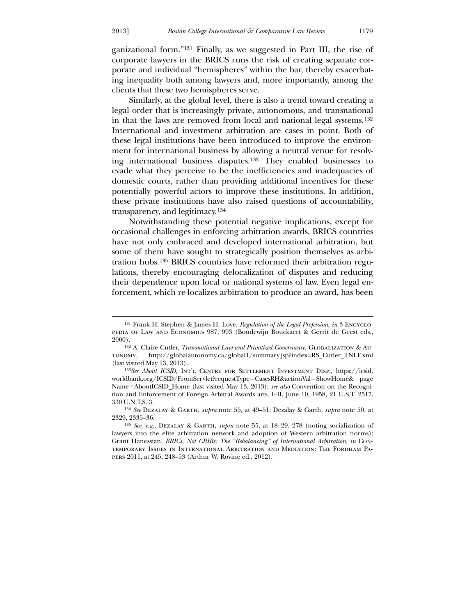$\overline{a}$ 

ganizational form."[131](#page-30-2) Finally, as we suggested in Part III, the rise of corporate lawyers in the BRICS runs the risk of creating separate corporate and individual "hemispheres" within the bar, thereby exacerbating inequality both among lawyers and, more importantly, among the clients that these two hemispheres serve.

 Similarly, at the global level, there is also a trend toward creating a legal order that is increasingly private, autonomous, and transnational in that the laws are removed from local and national legal systems.[132](#page-31-0) International and investment arbitration are cases in point. Both of these legal institutions have been introduced to improve the environment for international business by allowing a neutral venue for resolving international business disputes.[133](#page-31-1) They enabled businesses to evade what they perceive to be the inefficiencies and inadequacies of domestic courts, rather than providing additional incentives for these potentially powerful actors to improve these institutions. In addition, these private institutions have also raised questions of accountability, transparency, and legitimacy.[134](#page-31-2)

[some of them have sought](#page-31-2) to strategically position themselves as arbi-tration hubs.<sup>[135](#page-31-3)</sup> BRICS countries have reformed their arbitration regu- [Notwithstanding these potential negative implications, except for](#page-31-2)  [occasional challenges in enforcing arbitration awards, BRICS countries](#page-31-2)  [have not only embraced and developed international arbitration, but](#page-31-2)  lations, thereby encouraging delocalization of disputes and reducing their dependence upon local or national systems of law. Even legal enforcement, which re-localizes arbitration to produce an award, has been

<sup>131</sup> Frank H. Stephen & James H. Love, *Regulation of the Legal Profession*, *in* 3 Encyclopedia of Law and Economics 987, 993 (Boudewijn Bouckaert & Gerrit de Geest eds., 2000).

<sup>132</sup> A. Claire Cutler, *Transnational Law and Privatized Governance*, Globalization & Autonomy, http://globalautonomy.ca/global1/summary.jsp?index=RS\_Cutler\_TNLF.xml (last visited May 13, 2013).

<sup>133</sup>*See About ICSID*, Int'l Centre for Settlement Investment Disp., https://icsid. worldbank.org/ICSID/FrontServlet?requestType=CasesRH&actionVal=ShowHome& page Name=AboutICSID\_Home (last visited May 13, 2013); *see also* Convention on the Recognition and Enforcement of Foreign Arbitral Awards arts. I–II, June 10, 1958, 21 U.S.T. 2517, 330 U.N.T.S. 3.

<sup>134</sup> *See* Dezalay & Garth, *supra* note 55, at 49–51; Dezalay & Garth, *supra* note 50, at 2329, 2335–36.

<span id="page-31-3"></span><span id="page-31-2"></span><span id="page-31-1"></span><span id="page-31-0"></span><sup>135</sup> *See, e.g.*, Dezalay & Garth, *supra* note 55, at 18–29, 278 (noting socialization of lawyers into the elite arbitration network and adoption of Western arbitration norms); Grant Hanessian, *BRICs, Not CRIBs: The "Rebalancing" of International Arbitration*, *in* Contemporary Issues in International Arbitration and Mediation: The Fordham Papers 2011, at 245, 248–53 (Arthur W. Rovine ed., 2012).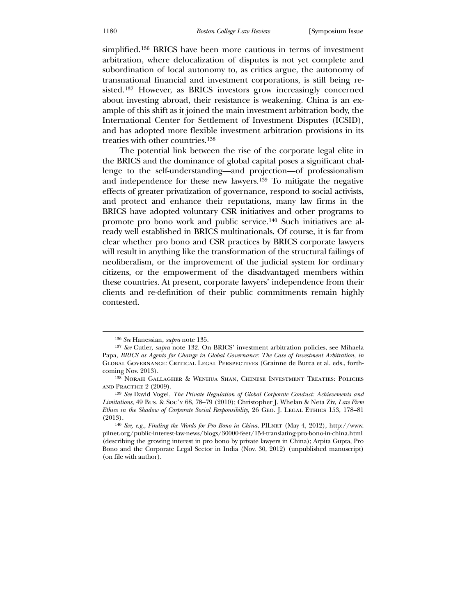simplified.[136](#page-32-0) BRICS have been more cautious in terms of investment arbitration, where delocalization of disputes is not yet complete and subordination of local autonomy to, as critics argue, the autonomy of transnational financial and investment corporations, is still being resisted.[137](#page-32-1) However, as BRICS investors grow increasingly concerned about investing abroad, their resistance is weakening. China is an example of this shift as it joined the main investment arbitration body, the International Center for Settlement of Investment Disputes (ICSID), and has adopted more flexible investment arbitration provisions in its treaties with other countries.[138](#page-32-2)

 [The potential link between the rise of the corporate legal elite in](#page-32-2)  [the BRICS and the dominance of global capital poses a significant chal](#page-32-2)[lenge to the self-understanding](#page-32-2)—and projection—of professionalism and independence for these new lawyers.<sup>[139](#page-32-3)</sup> To mitigate the negative effects of greater privatization of governance, respond to social activists, and protect and enhance their reputations, many law firms in the BRICS have adopted voluntary CSR initiatives and other programs to promote pro bono work and public service.[140](#page-32-4) Such initiatives are already well established in BRICS multinationals. Of course, it is far from clear whether pro bono and CSR practices by BRICS corporate lawyers will result in anything like the transformation of the structural failings of neoliberalism, or the improvement of the judicial system for ordinary citizens, or the empowerment of the disadvantaged members within these countries. At present, corporate lawyers' independence from their clients and re-definition of their public commitments remain highly contested.

<sup>136</sup> *See* Hanessian, *supra* note 135.

<sup>137</sup> *See* Cutler, *supra* note 132. On BRICS' investment arbitration policies, see Mihaela Papa, *BRICS as Agents for Change in Global Governance: The Case of Investment Arbitration*, *in* Global Governance: Critical Legal Perspectives (Grainne de Burca et al. eds., forthcoming Nov. 2013).

<sup>138</sup> Norah Gallagher & Wenhua Shan, Chinese Investment Treaties: Policies and Practice 2 (2009).

<sup>139</sup> *See* David Vogel, *The Private Regulation of Global Corporate Conduct: Achievements and Limitations*, 49 Bus. & Soc'y 68, 78–79 (2010); Christopher J. Whelan & Neta Ziv, *Law Firm Ethics in the Shadow of Corporate Social Responsibility*, 26 Geo. J. Legal Ethics 153, 178–81 (2013).

<span id="page-32-4"></span><span id="page-32-3"></span><span id="page-32-2"></span><span id="page-32-1"></span><span id="page-32-0"></span><sup>&</sup>lt;sup>140</sup> *See, e.g., Finding the Words for Pro Bono in China*, PILNET (May 4, 2012), http://www. pilnet.org/public-interest-law-news/blogs/30000-feet/154-translating-pro-bono-in-china.html (describing the growing interest in pro bono by private lawyers in China); Arpita Gupta, Pro Bono and the Corporate Legal Sector in India (Nov. 30, 2012) (unpublished manuscript) (on file with author).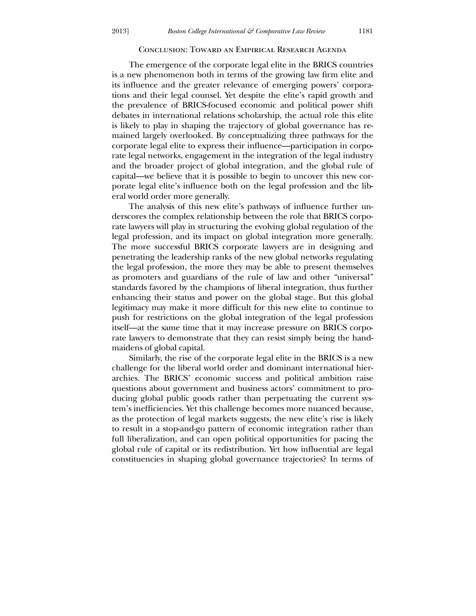#### Conclusion: Toward an Empirical Research Agenda

 The emergence of the corporate legal elite in the BRICS countries is a new phenomenon both in terms of the growing law firm elite and its influence and the greater relevance of emerging powers' corporations and their legal counsel. Yet despite the elite's rapid growth and the prevalence of BRICS-focused economic and political power shift debates in international relations scholarship, the actual role this elite is likely to play in shaping the trajectory of global governance has remained largely overlooked. By conceptualizing three pathways for the corporate legal elite to express their influence—participation in corporate legal networks, engagement in the integration of the legal industry and the broader project of global integration, and the global rule of capital—we believe that it is possible to begin to uncover this new corporate legal elite's influence both on the legal profession and the liberal world order more generally.

rate lawyers will play in structuring the evolving global regulation of the legal profession, and its impact on global integration more generally. The analysis of this new elite's pathways of influence further underscores the complex relationship between the role that BRICS corpo-The more successful BRICS corporate lawyers are in designing and penetrating the leadership ranks of the new global networks regulating the legal profession, the more they may be able to present themselves as promoters and guardians of the rule of law and other "universal" standards favored by the champions of liberal integration, thus further enhancing their status and power on the global stage. But this global legitimacy may make it more difficult for this new elite to continue to push for restrictions on the global integration of the legal profession itself—at the same time that it may increase pressure on BRICS corporate lawyers to demonstrate that they can resist simply being the handmaidens of global capital.

archies. The BRICS' economic success and political ambition raise questions about government and business actors' commitment to pro- Similarly, the rise of the corporate legal elite in the BRICS is a new challenge for the liberal world order and dominant international hierducing global public goods rather than perpetuating the current system's inefficiencies. Yet this challenge becomes more nuanced because, as the protection of legal markets suggests, the new elite's rise is likely to result in a stop-and-go pattern of economic integration rather than full liberalization, and can open political opportunities for pacing the global rule of capital or its redistribution. Yet how influential are legal constituencies in shaping global governance trajectories? In terms of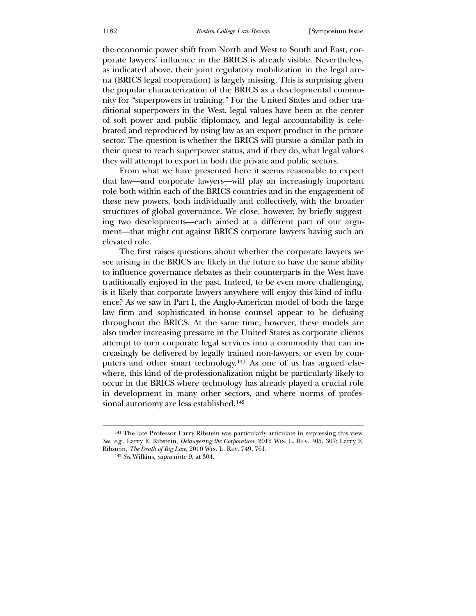the economic power shift from North and West to South and East, corporate lawyers' influence in the BRICS is already visible. Nevertheless, as indicated above, their joint regulatory mobilization in the legal arena (BRICS legal cooperation) is largely missing. This is surprising given the popular characterization of the BRICS as a developmental community for "superpowers in training." For the United States and other traditional superpowers in the West, legal values have been at the center of soft power and public diplomacy, and legal accountability is celebrated and reproduced by using law as an export product in the private sector. The question is whether the BRICS will pursue a similar path in their quest to reach superpower status, and if they do, what legal values they will attempt to export in both the private and public sectors.

 From what we have presented here it seems reasonable to expect that law—and corporate lawyers—will play an increasingly important role both within each of the BRICS countries and in the engagement of these new powers, both individually and collectively, with the broader structures of global governance. We close, however, by briefly suggesting two developments—each aimed at a different part of our argument—that might cut against BRICS corporate lawyers having such an elevated role.

to influence governance debates as their counterparts in the West have traditionally enjoyed in the past. Indeed, to be even more challenging, The first raises questions about whether the corporate lawyers we see arising in the BRICS are likely in the future to have the same ability is it likely that corporate lawyers anywhere will enjoy this kind of influence? As we saw in Part I, the Anglo-American model of both the large law firm and sophisticated in-house counsel appear to be defusing throughout the BRICS. At the same time, however, these models are also under increasing pressure in the United States as corporate clients attempt to turn corporate legal services into a commodity that can increasingly be delivered by legally trained non-lawyers, or even by computers and other smart technology.[141](#page-34-0) As one of us has argued elsewhere, this kind of de-professionalization might be particularly likely to occur in the BRICS where technology has already played a crucial role in development in many other sectors, and where norms of professional autonomy are less established.[142](#page-34-1)

<sup>141</sup> The late Professor Larry Ribstein was particularly articulate in expressing this view. *See, e.g.*, Larry E. Ribstein, *Delawyering the Corporation*, 2012 Wis. L. Rev. 305, 307; Larry E. Ribstein, *The Death of Big Law*, 2010 Wis. L. Rev. 749, 761.

<span id="page-34-1"></span><span id="page-34-0"></span><sup>142</sup> *See* Wilkins, *supra* note 9, at 304.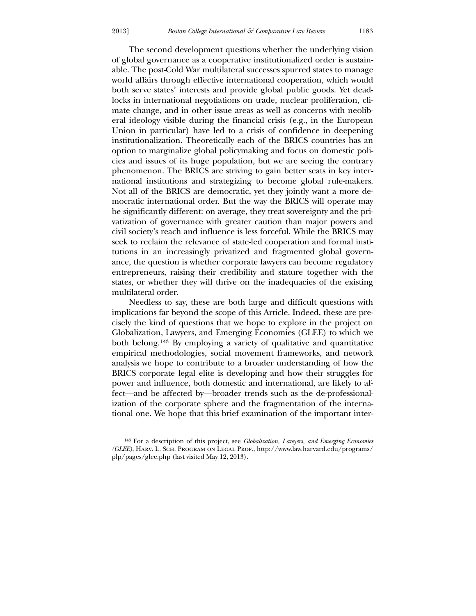$\overline{a}$ 

 $\overline{a}$ 

 [The second development questions whether the underlying vision](#page-34-1)  [of global governance as a cooperative ins](#page-34-1)titutionalized order is sustainable. The post-Cold War multilateral successes spurred states to manage world affairs through effective international cooperation, which would both serve states' interests and provide global public goods. Yet deadlocks in international negotiations on trade, nuclear proliferation, climate change, and in other issue areas as well as concerns with neoliberal ideology visible during the financial crisis (e.g., in the European Union in particular) have led to a crisis of confidence in deepening institutionalization. Theoretically each of the BRICS countries has an option to marginalize global policymaking and focus on domestic policies and issues of its huge population, but we are seeing the contrary phenomenon. The BRICS are striving to gain better seats in key international institutions and strategizing to become global rule-makers. Not all of the BRICS are democratic, yet they jointly want a more democratic international order. But the way the BRICS will operate may be significantly different: on average, they treat sovereignty and the privatization of governance with greater caution than major powers and civil society's reach and influence is less forceful. While the BRICS may seek to reclaim the relevance of state-led cooperation and formal institutions in an increasingly privatized and fragmented global governance, the question is whether corporate lawyers can become regulatory entrepreneurs, raising their credibility and stature together with the states, or whether they will thrive on the inadequacies of the existing multilateral order.

implications far beyond the scope of this Article. Indeed, these are precisely the kind of questions that we hope to explore in the project on Needless to say, these are both large and difficult questions with Globalization, Lawyers, and Emerging Economies (GLEE) to which we both belong.[143](#page-35-0) By employing a variety of qualitative and quantitative empirical methodologies, social movement frameworks, and network analysis we hope to contribute to a broader understanding of how the BRICS corporate legal elite is developing and how their struggles for power and influence, both domestic and international, are likely to affect—and be affected by—broader trends such as the de-professionalization of the corporate sphere and the fragmentation of the international one. We hope that this brief examination of the important inter-

<span id="page-35-0"></span><sup>143</sup> For a description of this project, see *Globalization, Lawyers, and Emerging Economies (GLEE)*, Harv. L. Sch. Program on Legal Prof., http://www.law.harvard.edu/programs/ plp/pages/glee.php (last visited May 12, 2013).